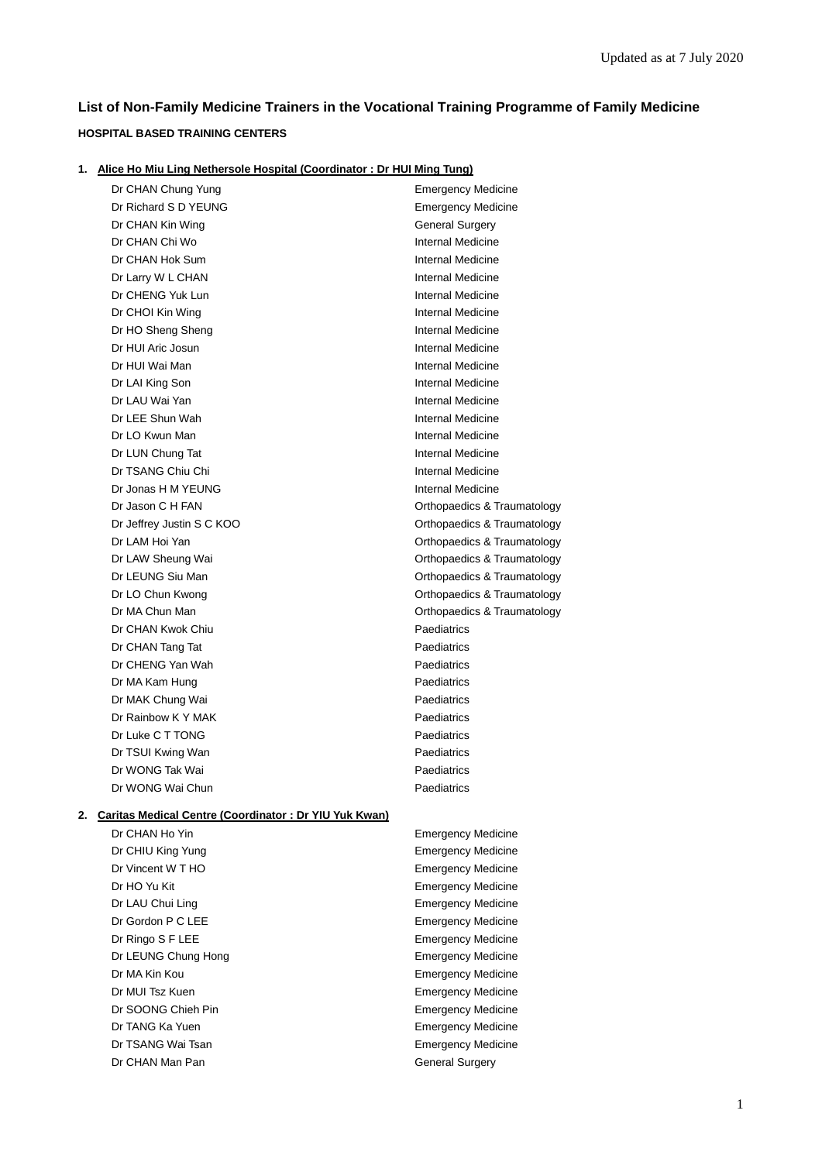# **List of Non-Family Medicine Trainers in the Vocational Training Programme of Family Medicine**

# **HOSPITAL BASED TRAINING CENTERS**

|  |  | 1. Alice Ho Miu Ling Nethersole Hospital (Coordinator: Dr HUI Ming Tung) |  |  |
|--|--|--------------------------------------------------------------------------|--|--|
|--|--|--------------------------------------------------------------------------|--|--|

|    | Dr CHAN Chung Yung                                    | <b>Emergency Medicine</b>   |
|----|-------------------------------------------------------|-----------------------------|
|    | Dr Richard S D YEUNG                                  | <b>Emergency Medicine</b>   |
|    | Dr CHAN Kin Wing                                      | <b>General Surgery</b>      |
|    | Dr CHAN Chi Wo                                        | Internal Medicine           |
|    | Dr CHAN Hok Sum                                       | Internal Medicine           |
|    | Dr Larry W L CHAN                                     | Internal Medicine           |
|    | Dr CHENG Yuk Lun                                      | Internal Medicine           |
|    | Dr CHOI Kin Wing                                      | Internal Medicine           |
|    | Dr HO Sheng Sheng                                     | Internal Medicine           |
|    | Dr HUI Aric Josun                                     | Internal Medicine           |
|    | Dr HUI Wai Man                                        | Internal Medicine           |
|    | Dr LAI King Son                                       | Internal Medicine           |
|    | Dr LAU Wai Yan                                        | Internal Medicine           |
|    | Dr LEE Shun Wah                                       | Internal Medicine           |
|    | Dr LO Kwun Man                                        | Internal Medicine           |
|    | Dr LUN Chung Tat                                      | Internal Medicine           |
|    | Dr TSANG Chiu Chi                                     | Internal Medicine           |
|    | Dr Jonas H M YEUNG                                    | Internal Medicine           |
|    | Dr Jason C H FAN                                      | Orthopaedics & Traumatology |
|    | Dr Jeffrey Justin S C KOO                             | Orthopaedics & Traumatology |
|    | Dr LAM Hoi Yan                                        | Orthopaedics & Traumatology |
|    | Dr LAW Sheung Wai                                     | Orthopaedics & Traumatology |
|    | Dr LEUNG Siu Man                                      | Orthopaedics & Traumatology |
|    | Dr LO Chun Kwong                                      | Orthopaedics & Traumatology |
|    | Dr MA Chun Man                                        | Orthopaedics & Traumatology |
|    | Dr CHAN Kwok Chiu                                     | Paediatrics                 |
|    | Dr CHAN Tang Tat                                      | Paediatrics                 |
|    | Dr CHENG Yan Wah                                      | Paediatrics                 |
|    | Dr MA Kam Hung                                        | Paediatrics                 |
|    | Dr MAK Chung Wai                                      | Paediatrics                 |
|    | Dr Rainbow K Y MAK                                    | Paediatrics                 |
|    | Dr Luke C T TONG                                      | Paediatrics                 |
|    | Dr TSUI Kwing Wan                                     | Paediatrics                 |
|    | Dr WONG Tak Wai                                       | Paediatrics                 |
|    | Dr WONG Wai Chun                                      | Paediatrics                 |
| 2. | Caritas Medical Centre (Coordinator: Dr YIU Yuk Kwan) |                             |
|    | Dr CHAN Ho Yin                                        | <b>Emergency Medicine</b>   |
|    | Dr CHIU King Yung                                     | <b>Emergency Medicine</b>   |
|    | Dr Vincent W T HO                                     | <b>Emergency Medicine</b>   |
|    | Dr HO Yu Kit                                          | <b>Emergency Medicine</b>   |
|    | Dr LAU Chui Ling                                      | <b>Emergency Medicine</b>   |
|    | Dr Gordon P C LEE                                     | <b>Emergency Medicine</b>   |
|    | Dr Ringo S F LEE                                      | <b>Emergency Medicine</b>   |
|    | Dr LEUNG Chung Hong                                   | <b>Emergency Medicine</b>   |
|    |                                                       |                             |

- 
- 
- 

Dr CHAN Man Pan General Surgery

Dr MA Kin Kou **Emergency Medicine** Dr MUI Tsz Kuen **Emergency Medicine** Dr SOONG Chieh Pin **Emergency Medicine** Dr TANG Ka Yuen **Emergency Medicine** Dr TSANG Wai Tsan **Emergency Medicine**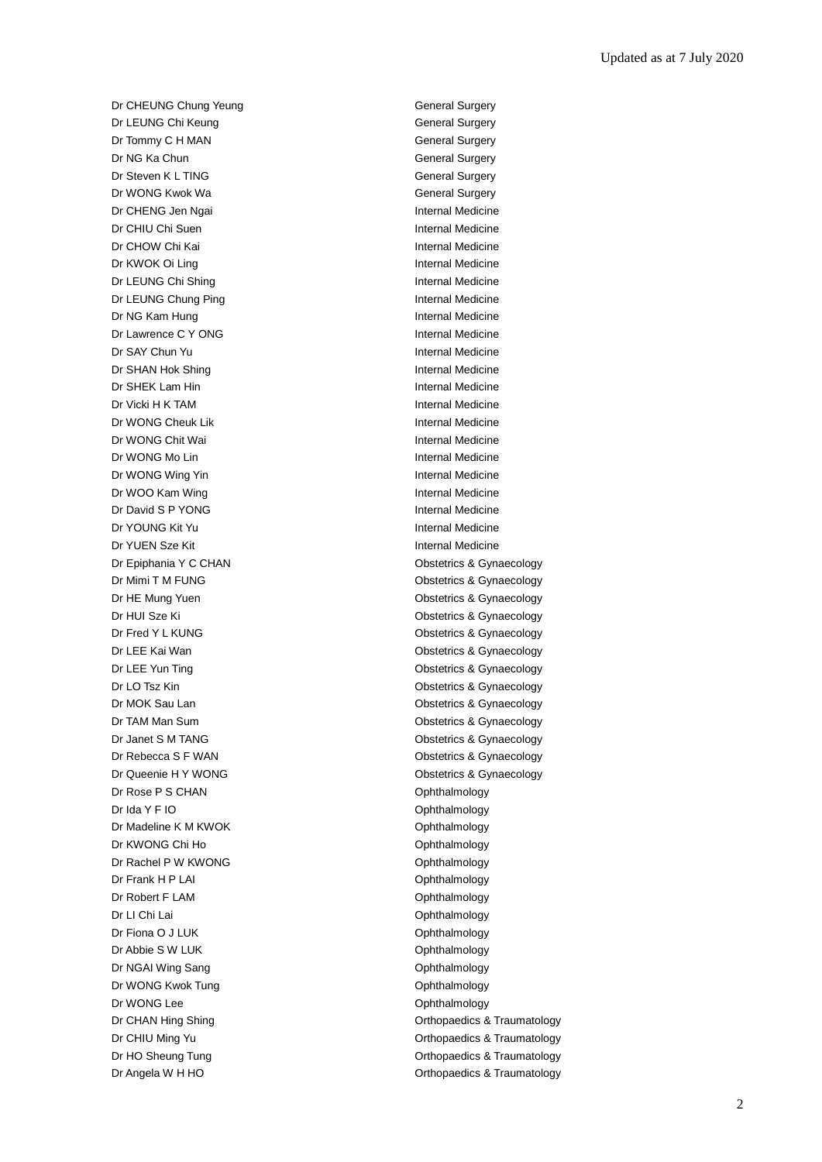Dr CHEUNG Chung Yeung General Surgery Dr LEUNG Chi Keung General Surgery Dr Tommy C H MAN General Surgery Dr NG Ka Chun General Surgery Dr Steven K L TING General Surgery Dr WONG Kwok Wa General Surgery Dr CHENG Jen Ngai **Internal Medicine** Dr CHIU Chi Suen Internal Medicine Dr CHOW Chi Kai **Internal Medicine** Dr KWOK Oi Ling **Internal Medicine** Dr LEUNG Chi Shing **Internal Medicine** Dr LEUNG Chung Ping **Internal Medicine** Dr NG Kam Hung **Internal Medicine** Dr Lawrence C Y ONG Internal Medicine Dr SAY Chun Yu **Internal Medicine** Dr SHAN Hok Shing **Internal Medicine** Dr SHEK Lam Hin **Internal Medicine** Dr Vicki H K TAM **Internal Medicine** Dr WONG Cheuk Lik **Internal Medicine** Dr WONG Chit Wai **Internal Medicine** Dr WONG Mo Lin and The Theorem and The Internal Medicine Dr WONG Wing Yin **Internal Medicine** Dr WOO Kam Wing **Internal Medicine** Dr David S P YONG Internal Medicine Dr YOUNG Kit Yu Internal Medicine Dr YUEN Sze Kit **Internal Medicine** Dr Epiphania Y C CHAN **Obstetrics & Gynaecology** Dr Mimi T M FUNG **Dr Mimi T M FUNG Obstetrics & Gynaecology** Dr HE Mung Yuen **Obstetrics & Gynaecology** Dr HUI Sze Ki **Obstetrics & Gynaecology** Dr Fred Y L KUNG **CONSTRESS** CONSTRESS & Gynaecology Dr LEE Kai Wan **Obstetrics & Gynaecology Obstetrics & Gynaecology** Dr LEE Yun Ting **Dr LEE Yun Ting Obstetrics & Gynaecology** Dr LO Tsz Kin **Obstetrics & Gynaecology** Dr MOK Sau Lan **Dr MOK Sau Lan** Obstetrics & Gynaecology Dr TAM Man Sum **Dr TAM Man Sum** Construction Construction Construction Construction Construction Construction Construction Construction Construction Construction Construction Construction Construction Construction Construc Dr Janet S M TANG **Dr Janet S M TANG Obstetrics & Gynaecology** Dr Rebecca S F WAN **Dr Rebecca** S F WAN Dr Queenie H Y WONG **Obstetrics & Gynaecology** Dr Rose P S CHAN Ophthalmology Dr Ida Y F IO **Ophthalmology** Dr Madeline K M KWOK **Ophthalmology** Dr KWONG Chi Ho **Ophthalmology** Dr Rachel P W KWONG **Ophthalmology** Dr Frank H P LAI Ophthalmology Dr Robert F LAM Communication Communication Communication Communication Communication Communication Communication Communication Communication Communication Communication Communication Communication Communication Communicat Dr LI Chi Lai **Ophthalmology** Dr Fiona O J LUK **Ophthalmology** Dr Abbie S W LUK **Ophthalmology** Dr NGAI Wing Sang **Ophthalmology** Dr WONG Kwok Tung **Ophthalmology** Dr WONG Lee Ophthalmology Dr CHAN Hing Shing **CHAN Hing Shing CHAN Hing Shing CHAN A** CHAN BOT **Orthopaedics & Traumatology** Dr CHIU Ming Yu **Dr CHIU Ming Yu** CHIU Ming Yu Orthopaedics & Traumatology Dr HO Sheung Tung **Dr HO Sheung Tung Orthopaedics & Traumatology** 

Dr Angela W H HO **Orthopaedics & Traumatology**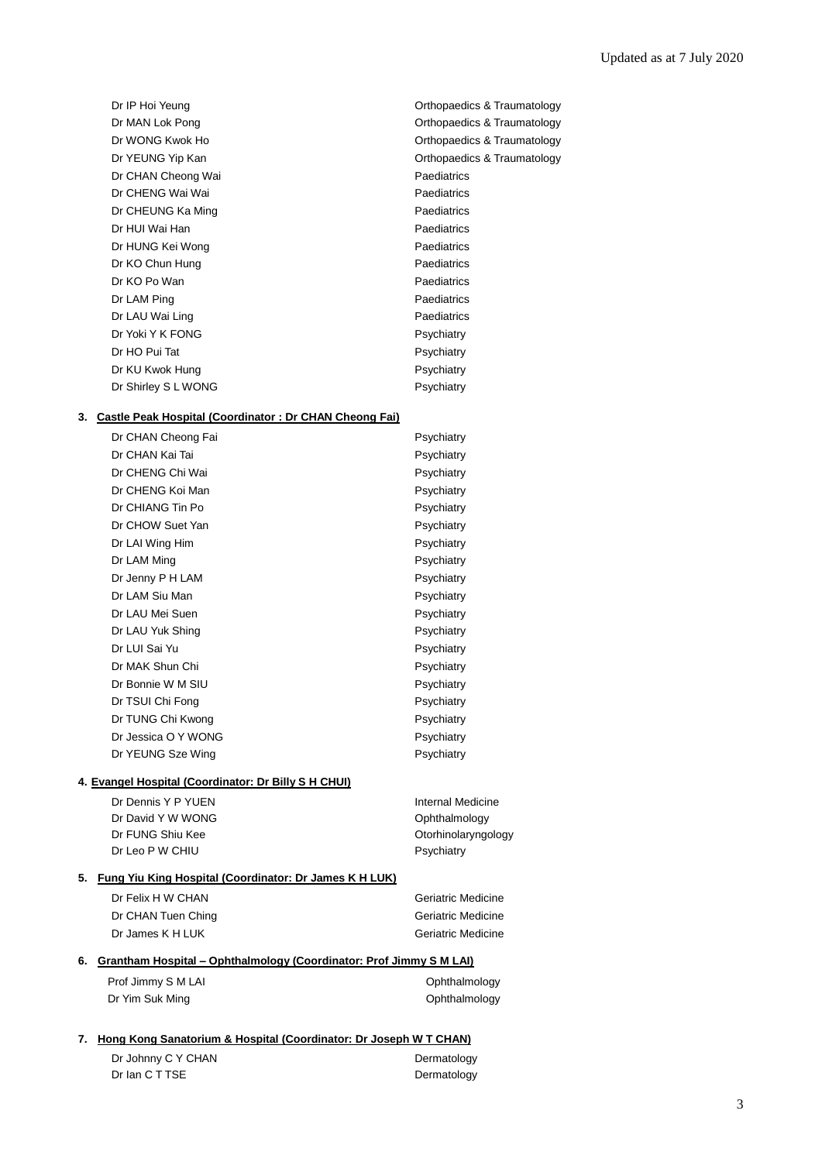| Dr IP Hoi Yeung     | Orthopaedics & Traumatology |
|---------------------|-----------------------------|
| Dr MAN Lok Pong     | Orthopaedics & Traumatology |
| Dr WONG Kwok Ho     | Orthopaedics & Traumatology |
| Dr YEUNG Yip Kan    | Orthopaedics & Traumatology |
| Dr CHAN Cheong Wai  | Paediatrics                 |
| Dr CHENG Wai Wai    | Paediatrics                 |
| Dr CHEUNG Ka Ming   | Paediatrics                 |
| Dr HUI Wai Han      | Paediatrics                 |
| Dr HUNG Kei Wong    | Paediatrics                 |
| Dr KO Chun Hung     | Paediatrics                 |
| Dr KO Po Wan        | Paediatrics                 |
| Dr LAM Ping         | Paediatrics                 |
| Dr LAU Wai Ling     | Paediatrics                 |
| Dr Yoki Y K FONG    | Psychiatry                  |
| Dr HO Pui Tat       | Psychiatry                  |
| Dr KU Kwok Hung     | Psychiatry                  |
| Dr Shirley S L WONG | Psychiatry                  |

#### **3. Castle Peak Hospital (Coordinator : Dr CHAN Cheong Fai)**

|                                                      | Dr CHAN Cheong Fai  | Psychiatry |
|------------------------------------------------------|---------------------|------------|
|                                                      | Dr CHAN Kai Tai     | Psychiatry |
|                                                      | Dr CHENG Chi Wai    | Psychiatry |
|                                                      | Dr CHENG Koi Man    | Psychiatry |
|                                                      | Dr CHIANG Tin Po    | Psychiatry |
|                                                      | Dr CHOW Suet Yan    | Psychiatry |
|                                                      | Dr LAI Wing Him     | Psychiatry |
|                                                      | Dr LAM Ming         | Psychiatry |
|                                                      | Dr Jenny P H LAM    | Psychiatry |
|                                                      | Dr LAM Siu Man      | Psychiatry |
|                                                      | Dr LAU Mei Suen     | Psychiatry |
|                                                      | Dr LAU Yuk Shing    | Psychiatry |
|                                                      | Dr LUI Sai Yu       | Psychiatry |
|                                                      | Dr MAK Shun Chi     | Psychiatry |
|                                                      | Dr Bonnie W M SIU   | Psychiatry |
|                                                      | Dr TSUI Chi Fong    | Psychiatry |
|                                                      | Dr TUNG Chi Kwong   | Psychiatry |
|                                                      | Dr Jessica O Y WONG | Psychiatry |
|                                                      | Dr YEUNG Sze Wing   | Psychiatry |
| 4. Evangel Hospital (Coordinator: Dr Billy S H CHUI) |                     |            |
|                                                      |                     |            |

# Dr Dennis Y P YUEN Internal Medicine Dr David Y W WONG COME CONTROLLER THE CONTROLLER Ophthalmology Dr FUNG Shiu Kee **Otorhinolaryngology** Dr Leo P W CHIU Psychiatry

# **5. Fung Yiu King Hospital (Coordinator: Dr James K H LUK)**

| Dr Felix H W CHAN  | Geriatric Medicine        |
|--------------------|---------------------------|
| Dr CHAN Tuen Ching | <b>Geriatric Medicine</b> |
| Dr James K H LUK   | Geriatric Medicine        |

# **6. Grantham Hospital – Ophthalmology (Coordinator: Prof Jimmy S M LAI)**

| Prof Jimmy S M LAI | Ophthalmology |
|--------------------|---------------|
| Dr Yim Suk Ming    | Ophthalmology |

#### **7. Hong Kong Sanatorium & Hospital (Coordinator: Dr Joseph W T CHAN)**

| Dr Johnny C Y CHAN | Dermatology |
|--------------------|-------------|
| Dr Ian C T TSE     | Dermatology |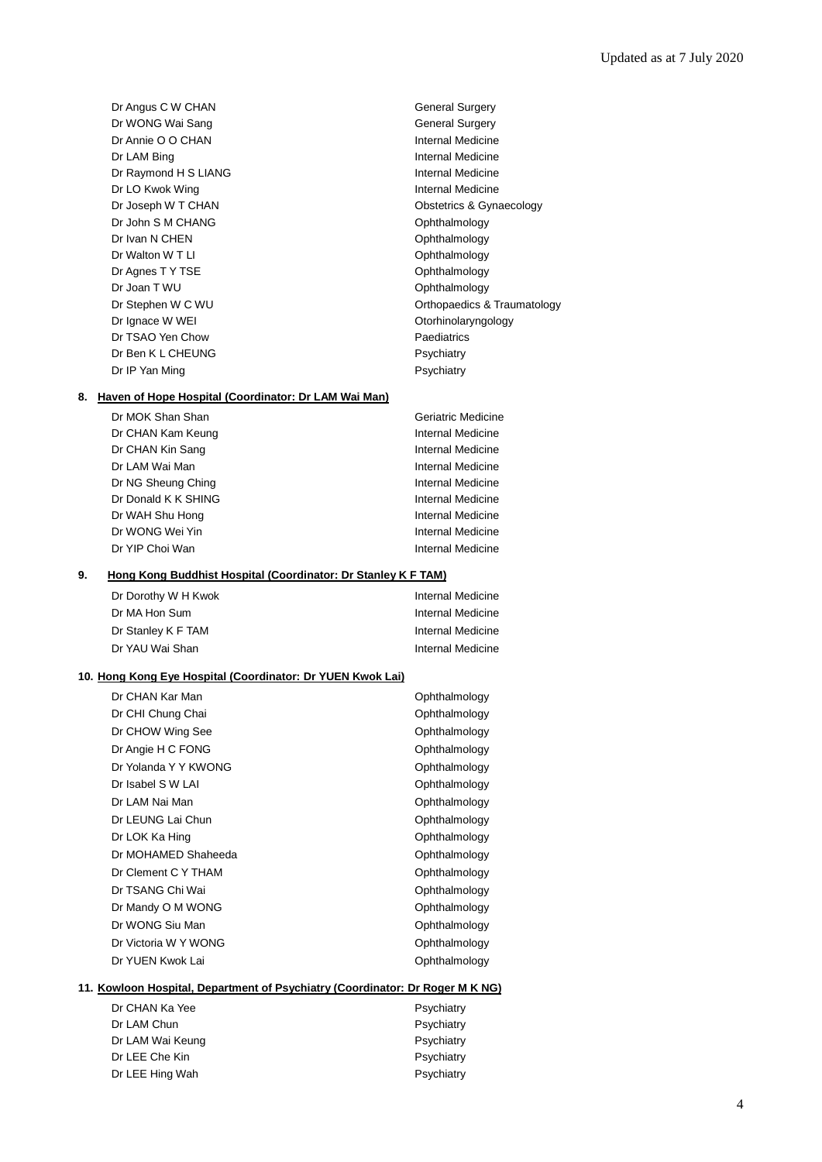Dr Angus C W CHAN General Surgery Dr WONG Wai Sang General Surgery Dr Annie O O CHAN Internal Medicine Dr LAM Bing **Internal Medicine** Dr Raymond H S LIANG Internal Medicine Dr LO Kwok Wing **Internal Medicine** Dr Joseph W T CHAN **Obstetrics & Gynaecology** Dr John S M CHANG **Ophthalmology** Dr Ivan N CHEN Ophthalmology Dr Walton W T LI CHARGE COMMUNICATION COMMUNICATION Ophthalmology Dr Agnes T Y TSE Ophthalmology Dr Joan T WU **Ophthalmology** Dr Ignace W WEI CHARGE CONSERVERSITY Of Determining Dr Ignace W WEI Dr TSAO Yen Chow Paediatrics Dr Ben K L CHEUNG Psychiatry Dr IP Yan Ming **Property** Psychiatry

# Dr Stephen W C WU **Dr Stephen W C WU Orthopaedics & Traumatology**

#### **8. Haven of Hope Hospital (Coordinator: Dr LAM Wai Man)**

Dr MOK Shan Shan Geriatric Medicine Dr CHAN Kam Keung **Internal Medicine** Dr CHAN Kin Sang **Internal Medicine** Dr LAM Wai Man **Internal Medicine** Dr NG Sheung Ching Internal Medicine Dr Donald K K SHING **Internal Medicine** Dr WAH Shu Hong **Internal Medicine** Dr WONG Wei Yin **Internal Medicine** Dr YIP Choi Wan Internal Medicine

#### **9. Hong Kong Buddhist Hospital (Coordinator: Dr Stanley K F TAM)**

| Dr Dorothy W H Kwok | <b>Internal Medicine</b> |
|---------------------|--------------------------|
| Dr MA Hon Sum       | Internal Medicine        |
| Dr Stanley K F TAM  | Internal Medicine        |
| Dr YAU Wai Shan     | <b>Internal Medicine</b> |

#### **10. Hong Kong Eye Hospital (Coordinator: Dr YUEN Kwok Lai)**

| Dr CHAN Kar Man      | Ophthalmology |
|----------------------|---------------|
| Dr CHI Chung Chai    | Ophthalmology |
| Dr CHOW Wing See     | Ophthalmology |
| Dr Angie H C FONG    | Ophthalmology |
| Dr Yolanda Y Y KWONG | Ophthalmology |
| Dr Isabel S W LAI    | Ophthalmology |
| Dr LAM Nai Man       | Ophthalmology |
| Dr LEUNG Lai Chun    | Ophthalmology |
| Dr LOK Ka Hing       | Ophthalmology |
| Dr MOHAMED Shaheeda  | Ophthalmology |
| Dr Clement C Y THAM  | Ophthalmology |
| Dr TSANG Chi Wai     | Ophthalmology |
| Dr Mandy O M WONG    | Ophthalmology |
| Dr WONG Siu Man      | Ophthalmology |
| Dr Victoria W Y WONG | Ophthalmology |
| Dr YUEN Kwok Lai     | Ophthalmology |
|                      |               |

# **11. Kowloon Hospital, Department of Psychiatry (Coordinator: Dr Roger M K NG)**

| Dr CHAN Ka Yee   | Psychiatry |
|------------------|------------|
| Dr LAM Chun      | Psychiatry |
| Dr LAM Wai Keung | Psychiatry |
| Dr LEE Che Kin   | Psychiatry |
| Dr LEE Hing Wah  | Psychiatry |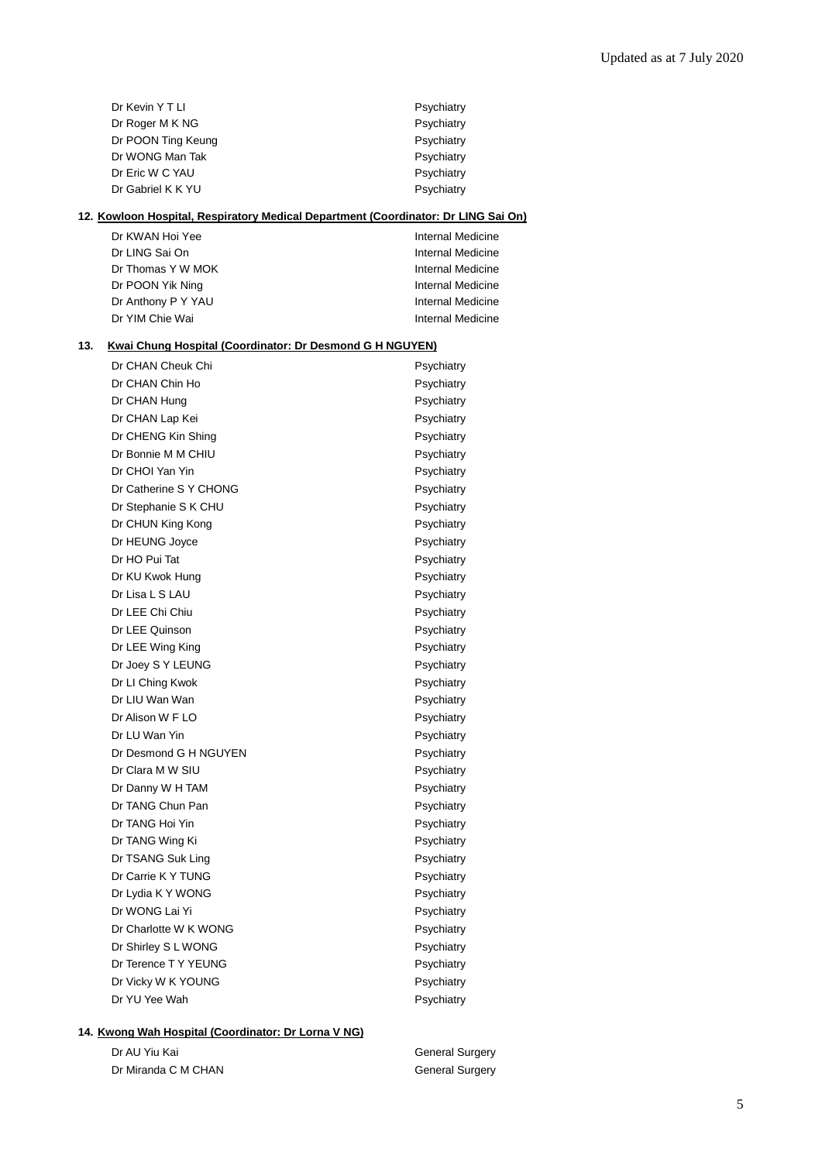|     | Dr Kevin Y T LI                                                                           | Psychiatry               |
|-----|-------------------------------------------------------------------------------------------|--------------------------|
|     | Dr Roger M K NG                                                                           | Psychiatry               |
|     | Dr POON Ting Keung                                                                        | Psychiatry               |
|     | Dr WONG Man Tak                                                                           | Psychiatry               |
|     | Dr Eric W C YAU                                                                           | Psychiatry               |
|     | Dr Gabriel K K YU                                                                         | Psychiatry               |
|     | <u>12. Kowloon Hospital, Respiratory Medical Department (Coordinator: Dr LING Sai On)</u> |                          |
|     | Dr KWAN Hoi Yee                                                                           | Internal Medicine        |
|     | Dr LING Sai On                                                                            | Internal Medicine        |
|     | Dr Thomas Y W MOK                                                                         | Internal Medicine        |
|     | Dr POON Yik Ning                                                                          | Internal Medicine        |
|     | Dr Anthony P Y YAU                                                                        | Internal Medicine        |
|     | Dr YIM Chie Wai                                                                           | Internal Medicine        |
| 13. | <b>Kwai Chung Hospital (Coordinator: Dr Desmond G H NGUYEN)</b>                           |                          |
|     | Dr CHAN Cheuk Chi                                                                         | Psychiatry               |
|     | Dr CHAN Chin Ho                                                                           | Psychiatry               |
|     | Dr CHAN Hung                                                                              | Psychiatry               |
|     | Dr CHAN Lap Kei                                                                           | Psychiatry               |
|     | Dr CHENG Kin Shing                                                                        | Psychiatry               |
|     | Dr Bonnie M M CHIU                                                                        | Psychiatry               |
|     | Dr CHOI Yan Yin                                                                           | Psychiatry               |
|     | Dr Catherine S Y CHONG                                                                    | Psychiatry               |
|     | Dr Stephanie S K CHU                                                                      | Psychiatry               |
|     | Dr CHUN King Kong                                                                         | Psychiatry               |
|     | Dr HEUNG Joyce                                                                            | Psychiatry               |
|     | Dr HO Pui Tat                                                                             | Psychiatry               |
|     | Dr KU Kwok Hung                                                                           | Psychiatry               |
|     | Dr Lisa L S LAU                                                                           | Psychiatry               |
|     | Dr LEE Chi Chiu                                                                           | Psychiatry               |
|     | Dr LEE Quinson                                                                            | Psychiatry               |
|     | Dr LEE Wing King                                                                          | Psychiatry               |
|     | Dr Joey S Y LEUNG                                                                         | Psychiatry               |
|     | Dr LI Ching Kwok                                                                          | Psychiatry               |
|     | Dr LIU Wan Wan                                                                            | Psychiatry               |
|     | Dr Alison W F LO                                                                          | Psychiatry               |
|     | Dr LU Wan Yin                                                                             |                          |
|     | Dr Desmond G H NGUYEN                                                                     | Psychiatry<br>Psychiatry |
|     | Dr Clara M W SIU                                                                          | Psychiatry               |
|     |                                                                                           |                          |
|     | Dr Danny W H TAM                                                                          | Psychiatry               |
|     | Dr TANG Chun Pan                                                                          | Psychiatry               |
|     | Dr TANG Hoi Yin                                                                           | Psychiatry               |
|     | Dr TANG Wing Ki                                                                           | Psychiatry               |
|     | Dr TSANG Suk Ling                                                                         | Psychiatry               |
|     | Dr Carrie K Y TUNG                                                                        | Psychiatry               |
|     | Dr Lydia K Y WONG                                                                         | Psychiatry               |
|     | Dr WONG Lai Yi                                                                            | Psychiatry               |
|     | Dr Charlotte W K WONG                                                                     | Psychiatry               |
|     | Dr Shirley S L WONG                                                                       | Psychiatry               |
|     | Dr Terence T Y YEUNG                                                                      | Psychiatry               |
|     | Dr Vicky W K YOUNG                                                                        | Psychiatry               |
|     | Dr YU Yee Wah                                                                             | Psychiatry               |
|     |                                                                                           |                          |

# **14. Kwong Wah Hospital (Coordinator: Dr Lorna V NG)**

Dr AU Yiu Kai General Surgery Dr Miranda C M CHAN General Surgery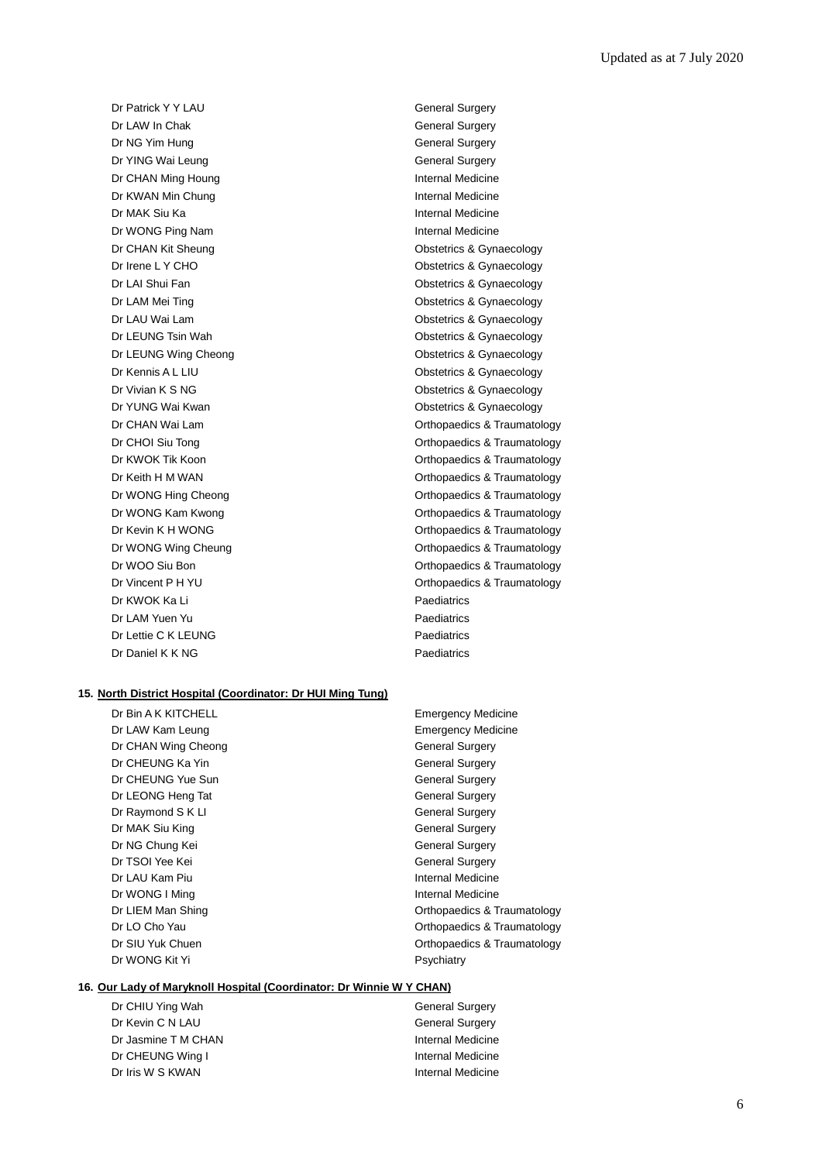Dr Patrick Y Y LAU General Surgery Dr LAW In Chak General Surgery Dr NG Yim Hung General Surgery Dr YING Wai Leung General Surgery Dr CHAN Ming Houng **Internal Medicine** Dr KWAN Min Chung **Internal Medicine** Dr MAK Siu Ka **Internal Medicine** Dr WONG Ping Nam **Internal Medicine** Dr CHAN Kit Sheung **Obstetrics & Gynaecology** Dr Irene L Y CHO **Obstetrics & Gynaecology** Dr LAM Mei Ting **Canadian Control of Control Control Control Control Control Control Control Control Control Control Control Control Control Control Control Control Control Control Control Control Control Control Control C** Dr LEUNG Tsin Wah **Dr Leunese Contract Contract Contract Contract Contract Contract Contract Contract Contract Contract Contract Contract Contract Contract Contract Contract Contract Contract Contract Contract Contract Con** Dr LEUNG Wing Cheong **Calculates** Constanting Cheong **Obstetrics & Gynaecology** Dr Kennis A L LIU **Dr Kennis A L LIU** Obstetrics & Gynaecology Dr KWOK Ka Li Paediatrics Dr LAM Yuen Yu Paediatrics Dr Lettie C K LEUNG Paediatrics

Dr LAI Shui Fan **Carry Contract Contract Contract Contract Contract Contract Contract Contract Contract Contract Contract Contract Contract Contract Contract Contract Contract Contract Contract Contract Contract Contract C** Dr LAU Wai Lam **Obstetrics & Gynaecology** Dr Vivian K S NG CONSTRUCTED CONSTRUCTED A CONSTRUCTION Obstetrics & Gynaecology Dr YUNG Wai Kwan **Obstetrics & Gynaecology Obstetrics & Gynaecology** Dr CHAN Wai Lam **Dr CHAN Wai Lam** Orthopaedics & Traumatology Dr CHOI Siu Tong **Orthopaedics & Traumatology Orthopaedics & Traumatology** Dr KWOK Tik Koon **Orthopaedics & Traumatology** Dr Keith H M WAN **Dr Keith H M WAN** Orthopaedics & Traumatology Dr WONG Hing Cheong **Changes** Orthopaedics & Traumatology Dr WONG Kam Kwong **Orthopaedics & Traumatology** Orthopaedics & Traumatology Dr Kevin K H WONG **Dr Kevin K H WONG Orthopaedics & Traumatology** Dr WONG Wing Cheung **Changes Community** Orthopaedics & Traumatology Dr WOO Siu Bon **Orthopaedics & Traumatology** Dr Vincent P H YU **Dr Vincent P H YU** Orthopaedics & Traumatology Dr Daniel K K NG Paediatrics

#### **15. North District Hospital (Coordinator: Dr HUI Ming Tung)**

| Dr Bin A K KITCHELL | <b>Emergency Medicine</b> |
|---------------------|---------------------------|
| Dr LAW Kam Leung    | <b>Emergency Medicine</b> |
| Dr CHAN Wing Cheong | <b>General Surgery</b>    |
| Dr CHEUNG Ka Yin    | <b>General Surgery</b>    |
| Dr CHEUNG Yue Sun   | General Surgery           |
| Dr LEONG Heng Tat   | <b>General Surgery</b>    |
| Dr Raymond S K LI   | <b>General Surgery</b>    |
| Dr MAK Siu King     | <b>General Surgery</b>    |
| Dr NG Chung Kei     | <b>General Surgery</b>    |
| Dr TSOI Yee Kei     | <b>General Surgery</b>    |
| Dr LAU Kam Piu      | Internal Medicine         |
| Dr WONG I Ming      | Internal Medicine         |
| Dr LIEM Man Shing   | Orthopaedics & Traur      |
| Dr LO Cho Yau       | Orthopaedics & Traur      |
| Dr SIU Yuk Chuen    | Orthopaedics & Traur      |
| Dr WONG Kit Yi      | Psychiatry                |
|                     |                           |

**Emergency Medicine** General Surgery General Surgery General Surgery General Surgery **General Surgery** General Surgery General Surgery **General Surgery** Internal Medicine Internal Medicine Orthopaedics & Traumatology Orthopaedics & Traumatology Orthopaedics & Traumatology Psychiatry

# **16. Our Lady of Maryknoll Hospital (Coordinator: Dr Winnie W Y CHAN)**

Dr CHIU Ying Wah General Surgery Dr Kevin C N LAU General Surgery Dr Jasmine T M CHAN Internal Medicine Dr CHEUNG Wing I **Internal Medicine** Dr Iris W S KWAN **Internal Medicine**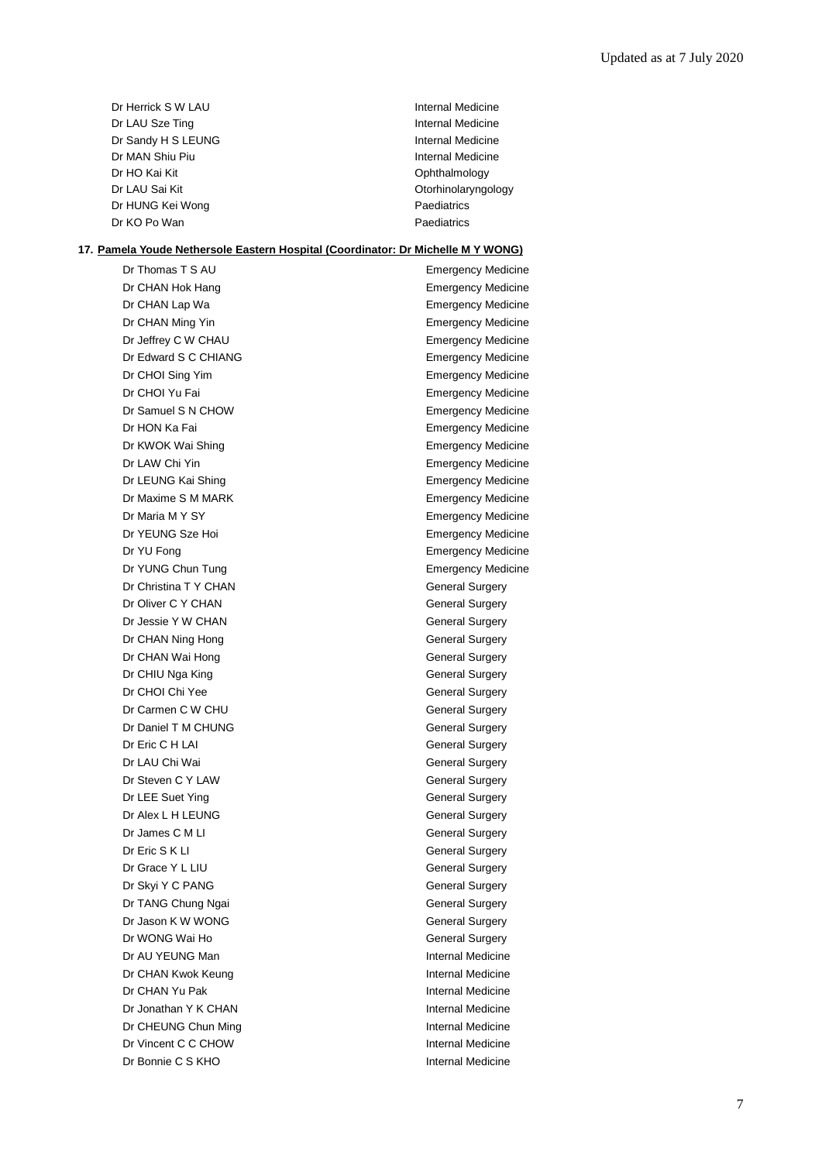| Dr Herrick S W LAU | Internal Medicine   |
|--------------------|---------------------|
| Dr LAU Sze Ting    | Internal Medicine   |
| Dr Sandy H S LEUNG | Internal Medicine   |
| Dr MAN Shiu Piu    | Internal Medicine   |
| Dr HO Kai Kit      | Ophthalmology       |
| Dr LAU Sai Kit     | Otorhinolaryngology |
| Dr HUNG Kei Wong   | Paediatrics         |
| Dr KO Po Wan       | Paediatrics         |

### **17. Pamela Youde Nethersole Eastern Hospital (Coordinator: Dr Michelle M Y WONG)**

| Dr Thomas T S AU      | <b>Emergency Medicine</b> |  |
|-----------------------|---------------------------|--|
| Dr CHAN Hok Hang      | <b>Emergency Medicine</b> |  |
| Dr CHAN Lap Wa        | <b>Emergency Medicine</b> |  |
| Dr CHAN Ming Yin      | <b>Emergency Medicine</b> |  |
| Dr Jeffrey C W CHAU   | <b>Emergency Medicine</b> |  |
| Dr Edward S C CHIANG  | <b>Emergency Medicine</b> |  |
| Dr CHOI Sing Yim      | <b>Emergency Medicine</b> |  |
| Dr CHOI Yu Fai        | <b>Emergency Medicine</b> |  |
| Dr Samuel S N CHOW    | <b>Emergency Medicine</b> |  |
| Dr HON Ka Fai         | <b>Emergency Medicine</b> |  |
| Dr KWOK Wai Shing     | <b>Emergency Medicine</b> |  |
| Dr LAW Chi Yin        | <b>Emergency Medicine</b> |  |
| Dr LEUNG Kai Shing    | <b>Emergency Medicine</b> |  |
| Dr Maxime S M MARK    | <b>Emergency Medicine</b> |  |
| Dr Maria M Y SY       | <b>Emergency Medicine</b> |  |
| Dr YEUNG Sze Hoi      | <b>Emergency Medicine</b> |  |
| Dr YU Fong            | <b>Emergency Medicine</b> |  |
| Dr YUNG Chun Tung     | <b>Emergency Medicine</b> |  |
| Dr Christina T Y CHAN | <b>General Surgery</b>    |  |
| Dr Oliver C Y CHAN    | <b>General Surgery</b>    |  |
| Dr Jessie Y W CHAN    | General Surgery           |  |
| Dr CHAN Ning Hong     | <b>General Surgery</b>    |  |
| Dr CHAN Wai Hong      | <b>General Surgery</b>    |  |
| Dr CHIU Nga King      | <b>General Surgery</b>    |  |
| Dr CHOI Chi Yee       | <b>General Surgery</b>    |  |
| Dr Carmen C W CHU     | <b>General Surgery</b>    |  |
| Dr Daniel T M CHUNG   | <b>General Surgery</b>    |  |
| Dr Eric C H LAI       | General Surgery           |  |
| Dr LAU Chi Wai        | General Surgery           |  |
| Dr Steven C Y LAW     | <b>General Surgery</b>    |  |
| Dr LEE Suet Ying      | <b>General Surgery</b>    |  |
| Dr Alex L H LEUNG     | General Surgery           |  |
| Dr James C M LI       | <b>General Surgery</b>    |  |
| Dr Eric S K LI        | <b>General Surgery</b>    |  |
| Dr Grace Y L LIU      | General Surgery           |  |
| Dr Skyi Y C PANG      | <b>General Surgery</b>    |  |
| Dr TANG Chung Ngai    | <b>General Surgery</b>    |  |
| Dr Jason K W WONG     | <b>General Surgery</b>    |  |
| Dr WONG Wai Ho        | <b>General Surgery</b>    |  |
| Dr AU YEUNG Man       | <b>Internal Medicine</b>  |  |
| Dr CHAN Kwok Keung    | <b>Internal Medicine</b>  |  |
| Dr CHAN Yu Pak        | <b>Internal Medicine</b>  |  |
| Dr Jonathan Y K CHAN  | Internal Medicine         |  |
| Dr CHEUNG Chun Ming   | Internal Medicine         |  |
| Dr Vincent C C CHOW   | Internal Medicine         |  |
| Dr Bonnie C S KHO     | <b>Internal Medicine</b>  |  |
|                       |                           |  |

Medicine Medicine Medicine Medicine Medicine Medicine Medicine Medicine Medicine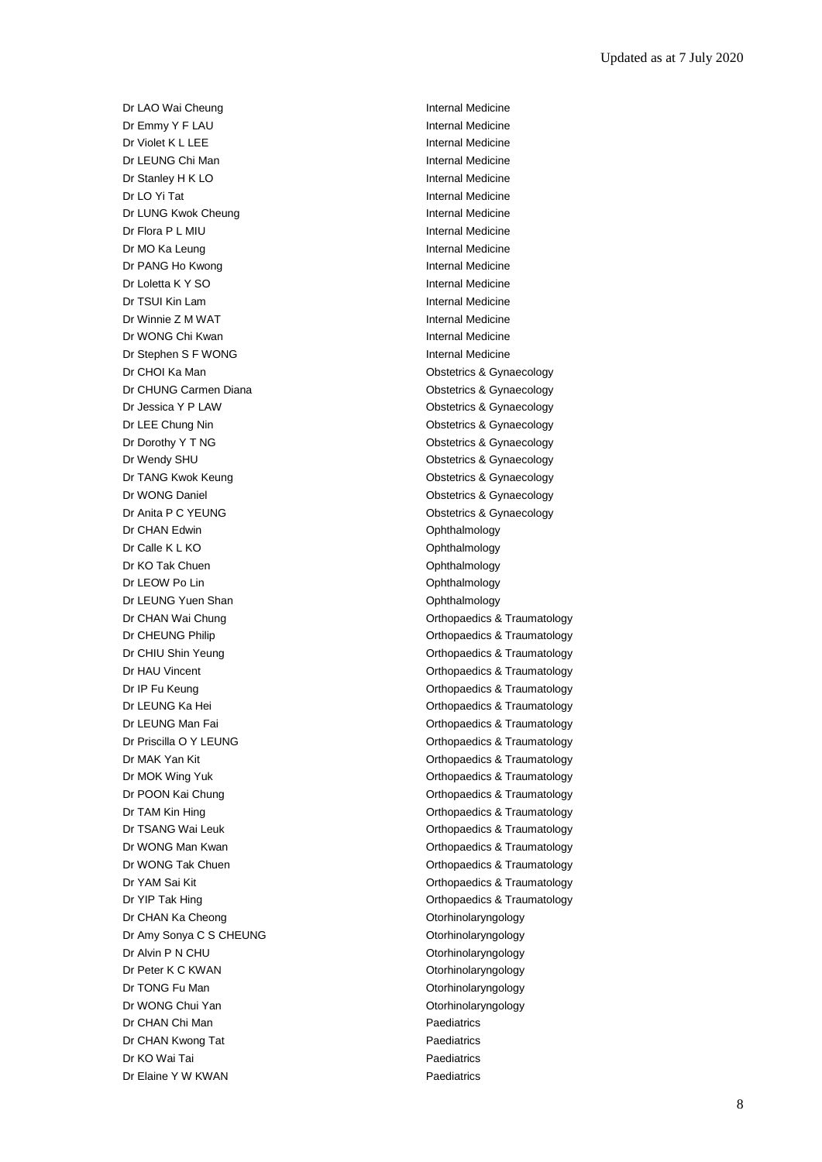Dr LAO Wai Cheung **Internal Medicine** Dr Emmy Y F LAU Internal Medicine Dr Violet K L LEE Internal Medicine Dr LEUNG Chi Man Internal Medicine Dr Stanley H K LO **Internal Medicine** Dr LO Yi Tat **Internal Medicine** Dr LUNG Kwok Cheung **Internal Medicine** Dr Flora P L MIU **Internal Medicine** Dr MO Ka Leung **Internal Medicine** Dr PANG Ho Kwong **Internal Medicine** Dr Loletta K Y SO **Internal Medicine** Dr TSUI Kin Lam **Internal Medicine** Dr Winnie Z M WAT **Internal Medicine** Dr WONG Chi Kwan **Internal Medicine** Dr Stephen S F WONG Internal Medicine Dr CHOI Ka Man **Dr CHOI Ka Man** Obstetrics & Gynaecology Dr CHUNG Carmen Diana **Diana** Obstetrics & Gynaecology Dr Jessica Y P LAW **Dr Jessica Y P LAW** Obstetrics & Gynaecology Dr LEE Chung Nin **Dr LEE Chung Nin** Chateria Constanting Obstetrics & Gynaecology Dr Dorothy Y T NG CONSECTED THE CONSECTION Obstetrics & Gynaecology Dr Wendy SHU **Dr Wendy SHU** Obstetrics & Gynaecology Dr TANG Kwok Keung **Canadian Control Control Control Control Control Control Control Control Control Control Control Control Control Control Control Control Control Control Control Control Control Control Control Control C** Dr WONG Daniel **Dr WONG Daniel** Contract Contract Contract Contract Contract Contract Contract Contract Contract Contract Contract Contract Contract Contract Contract Contract Contract Contract Contract Contract Contract C Dr Anita P C YEUNG **CONSTRUSS** Obstetrics & Gynaecology Dr CHAN Edwin **Dr CHAN Edwin Ophthalmology** Dr Calle K L KO **Ophthalmology** Dr KO Tak Chuen **Ophthalmology** Dr LEOW Po Lin Company Control Control Control Control Control Control Control Control Control Control Control Control Control Control Control Control Control Control Control Control Control Control Control Control Control Dr LEUNG Yuen Shan **Ophthalmology** Dr CHAN Wai Chung **Dr CHAN Wai Chung** Dr CHEUNG Philip **Dr CHEUNG Philip CHEUNG** Philip **CHEUNG** Philip **Orthopaedics & Traumatology** Dr CHIU Shin Yeung **Dr CHIU Shin Yeung Chinage Chinage Control** Chinage Orthopaedics & Traumatology Dr HAU Vincent **Orthopaedics & Traumatology** Dr IP Fu Keung **Orthopaedics & Traumatology** Dr LEUNG Ka Hei **Dr Leunatology Canadia Communist Communist Communist Communist Communist Communist Communist Communist Communist Communist Communist Communist Communist Communist Communist Communist Communist Communist** Dr LEUNG Man Fai **Dr Leunes Access** Orthopaedics & Traumatology Dr Priscilla O Y LEUNG **CONFINGUARY CONTINUES** Orthopaedics & Traumatology Dr MAK Yan Kit **Orthopaedics & Traumatology** Dr MOK Wing Yuk **Dr MOK Wing Yuk Community** Orthopaedics & Traumatology Dr POON Kai Chung **Orthopaedics & Traumatology** Dr TAM Kin Hing **Canadian Control Control Control Control Control Control Control Control Control Control Control Control Control Control Control Control Control Control Control Control Control Control Control Control Cont** Dr TSANG Wai Leuk **Dr TSANG Wai Leuk** Critics A Traumatology Dr WONG Man Kwan **Orthopaedics & Traumatology** Dr WONG Tak Chuen **Orthopaedics & Traumatology** Dr YAM Sai Kit **Orthopaedics & Traumatology** Dr YIP Tak Hing **Dr YIP Tak Hing Community** Controller Community Controller Controller Controller Controller Controller Controller Controller Controller Controller Controller Controller Controller Controller Controller Con Dr CHAN Ka Cheong **Otorhinolaryngology** Dr Amy Sonya C S CHEUNG **CONSERVING** Otorhinolaryngology Dr Alvin P N CHU **Dr Alvin P N CHU** Otorhinolaryngology Dr Peter K C KWAN CONSERVITY Otorhinolaryngology Dr TONG Fu Man **Otorhinolaryngology** Dr WONG Chui Yan **Otorhinolaryngology** Dr CHAN Chi Man **Paediatrics Paediatrics** Dr CHAN Kwong Tat **Paediatrics** Paediatrics Dr KO Wai Tai **Paediatrics Paediatrics** Dr Elaine Y W KWAN Paediatrics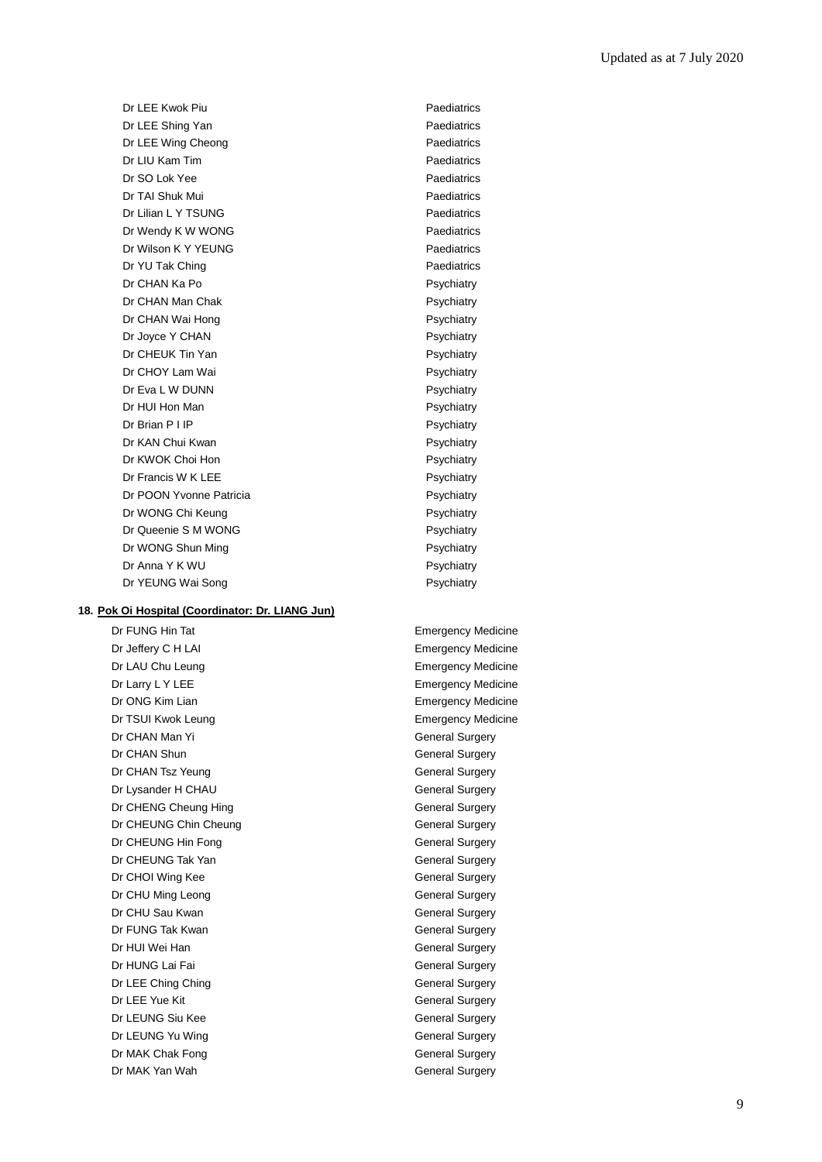Dr LEE Kwok Piu **Paediatrics** Dr LEE Shing Yan **Paediatrics** Dr LEE Wing Cheong **Paediatrics** Dr LIU Kam Tim Paediatrics Dr SO Lok Yee Paediatrics Dr TAI Shuk Mui **Paediatrics** Dr Lilian L Y TSUNG Paediatrics Dr Wendy K W WONG Paediatrics Dr Wilson K Y YEUNG Paediatrics Dr YU Tak Ching **Paediatrics** Paediatrics Dr CHAN Ka Po **Propriation** Psychiatry Dr CHAN Man Chak **Psychiatry** Psychiatry Dr CHAN Wai Hong **Provides** Psychiatry Dr Joyce Y CHAN Psychiatry Dr CHEUK Tin Yan **Propriation** Psychiatry Dr CHOY Lam Wai **Psychiatry** Psychiatry Dr Eva L W DUNN Psychiatry Dr HUI Hon Man **Psychiatry** Psychiatry Dr Brian P I IP Psychiatry Dr KAN Chui Kwan **Psychiatry** Psychiatry Dr KWOK Choi Hon **Psychiatry** Dr Francis W K LEE Psychiatry Psychiatry Dr POON Yvonne Patricia **Principal Psychiatry** Psychiatry Dr WONG Chi Keung **Provident China Psychiatry** Psychiatry Dr Queenie S M WONG Psychiatry Dr WONG Shun Ming **Provides** Psychiatry Dr Anna Y K WU Psychiatry Dr YEUNG Wai Song Provider and Psychiatry

# **18. Pok Oi Hospital (Coordinator: Dr. LIANG Jun)**

Dr FUNG Hin Tat **Emergency Medicine** Dr Jeffery C H LAI **Emergency Medicine** Dr LAU Chu Leung **Emergency Medicine** Dr Larry L Y LEE **Example 2018** Emergency Medicine Dr ONG Kim Lian **Emergency Medicine** Dr TSUI Kwok Leung **Emergency Medicine** Dr CHAN Man Yi General Surgery Dr CHAN Shun General Surgery Dr CHAN Tsz Yeung General Surgery Dr Lysander H CHAU General Surgery Dr CHENG Cheung Hing General Surgery Dr CHEUNG Chin Cheung General Surgery Dr CHEUNG Hin Fong General Surgery Dr CHEUNG Tak Yan General Surgery Dr CHOI Wing Kee General Surgery Dr CHU Ming Leong General Surgery Dr CHU Sau Kwan General Surgery Dr FUNG Tak Kwan General Surgery Dr HUI Wei Han General Surgery Dr HUNG Lai Fai **General** Surgery Dr LEE Ching Ching General Surgery Dr LEE Yue Kit General Surgery Dr LEUNG Siu Kee General Surgery Dr LEUNG Yu Wing **General** Surgery Dr MAK Chak Fong General Surgery Dr MAK Yan Wah General Surgery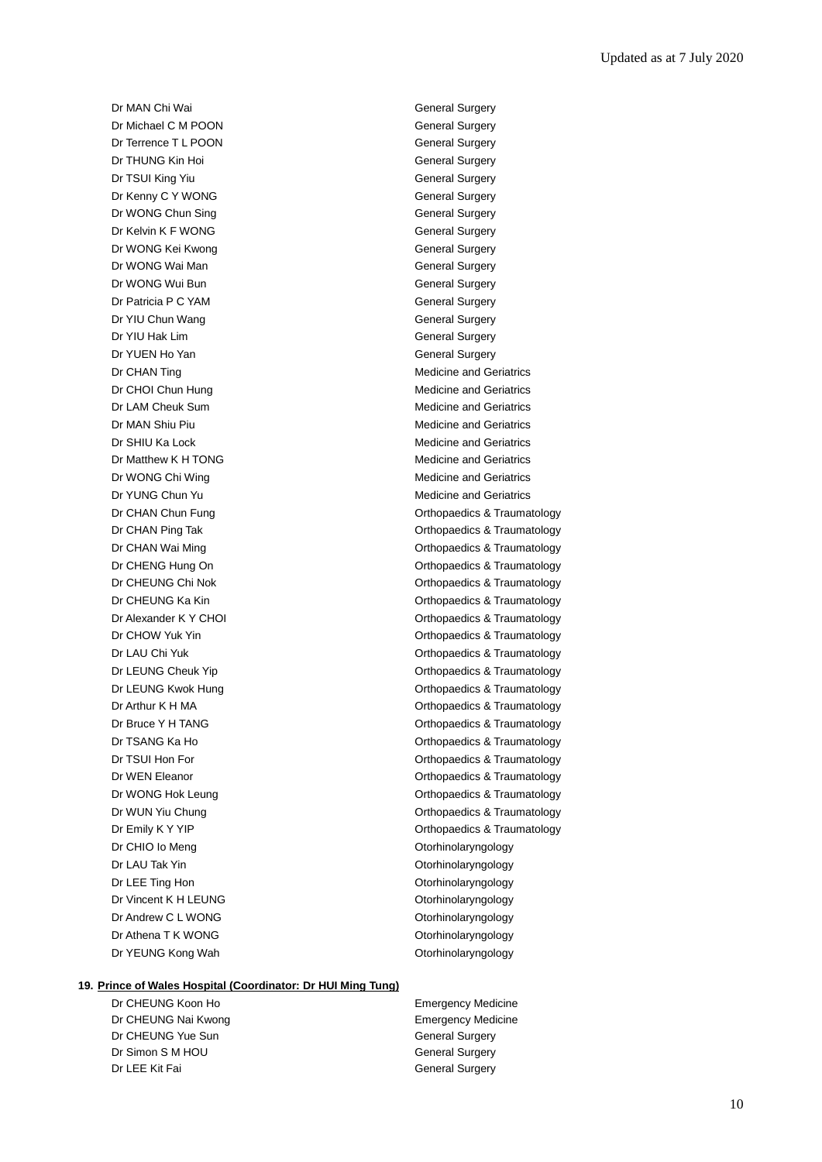Dr MAN Chi Wai **General Surgery** Dr Michael C M POON General Surgery Dr Terrence T L POON General Surgery **Dr THUNG Kin Hoi** General Surgery **Dr TSUI King Yiu General Surgery** General Surgery Dr Kenny C Y WONG General Surgery Dr WONG Chun Sing General Surgery Dr Kelvin K F WONG General Surgery Dr WONG Kei Kwong General Surgery Dr WONG Wai Man General Surgery Dr WONG Wui Bun General Surgery Dr Patricia P C YAM General Surgery Dr YIU Chun Wang General Surgery Dr YIU Hak Lim General Surgery Dr YUEN Ho Yan General Surgery Dr CHAN Ting Medicine and Geriatrics Dr CHOI Chun Hung Medicine and Geriatrics Dr LAM Cheuk Sum **Medicine and Geriatrics** Dr MAN Shiu Piu **Medicine and Geriatrics** Medicine and Geriatrics Dr SHIU Ka Lock **Medicine and Geriatrics** Medicine and Geriatrics Dr Matthew K H TONG Medicine and Geriatrics Dr WONG Chi Wing Medicine and Geriatrics Dr YUNG Chun Yu **Medicine and Geriatrics** Medicine and Geriatrics Dr CHIO Io Meng **Otorhinolaryngology** Dr LAU Tak Yin **Otorhinolaryngology** Dr LEE Ting Hon **Otorhinolaryngology** Dr Vincent K H LEUNG **Otorhinolaryngology** Dr Andrew C L WONG COME CONSULTER CONTROLLER CONTROLLER CONTROLLER CONTROLLER CONTROLLER CONTROLLER CONTROLLER Dr Athena T K WONG **Otorhinolaryngology** 

Dr CHAN Chun Fung **Orthopaedics & Traumatology** Dr CHAN Ping Tak **Dr CHAN Ping Tak** Orthopaedics & Traumatology Dr CHAN Wai Ming **Dr CHAN Wai Ming Community** Christian Community Christian Christian Christian Christian Christian Christian Christian Christian Christian Christian Christian Christian Christian Christian Christian Christ Dr CHENG Hung On **Orthopaedics & Traumatology** Dr CHEUNG Chi Nok **Dr CHEUNG** Chi Nok **Orthopaedics & Traumatology** Dr CHEUNG Ka Kin **Dr CHEUNG Ka Kin** Orthopaedics & Traumatology Dr Alexander K Y CHOI CHORE CHOI CHORE Orthopaedics & Traumatology Dr CHOW Yuk Yin **Orthopaedics & Traumatology** Dr LAU Chi Yuk **Orthopaedics & Traumatology** Dr LEUNG Cheuk Yip **Change Cheuk Straumatology** Orthopaedics & Traumatology Dr LEUNG Kwok Hung **Dr Leunes Access** Compared Controller Controller Controller Controller Controller Controller Dr Arthur K H MA **Dr Arthur K H MA** Orthopaedics & Traumatology Dr Bruce Y H TANG **Dr Bruce Y H TANG Orthopaedics & Traumatology** Dr TSANG Ka Ho **Orthopaedics & Traumatology** Dr TSUI Hon For **Orthopaedics & Traumatology** Dr WEN Eleanor **Orthopaedics & Traumatology** Dr WONG Hok Leung **Dr WONG Hok Leung CHO** Contract Contract Contract Contract Contract Contract Contract Contract Contract Contract Contract Contract Contract Contract Contract Contract Contract Contract Contract Contrac Dr WUN Yiu Chung **Orthopaedics & Traumatology** Dr Emily K Y YIP **Dr Emily K** Y YIP **Orthopaedics & Traumatology** Dr YEUNG Kong Wah **Otorhinolaryngology** 

#### **19. Prince of Wales Hospital (Coordinator: Dr HUI Ming Tung)**

Dr CHEUNG Koon Ho **Emergency Medicine** Dr CHEUNG Nai Kwong **Emergency Medicine** Dr CHEUNG Yue Sun General Surgery Dr Simon S M HOU General Surgery Dr LEE Kit Fai General Surgery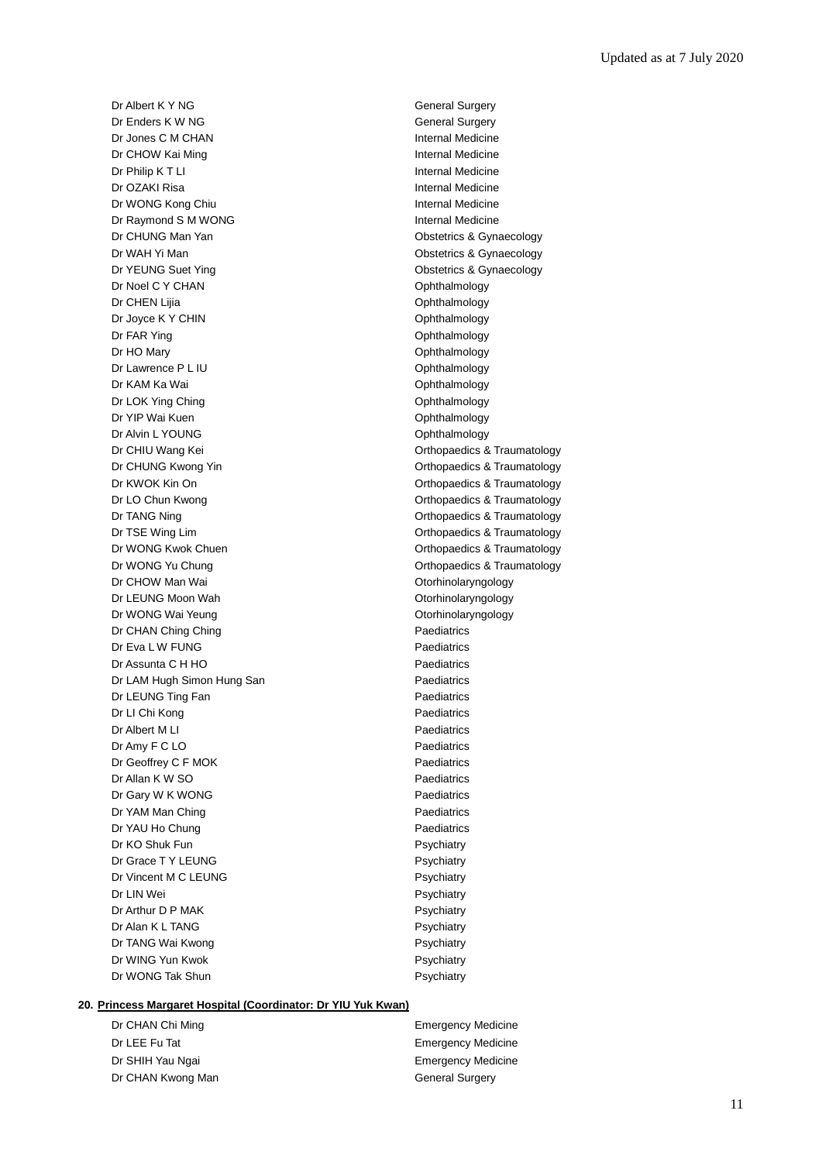Dr Albert K Y NG General Surgery Dr Enders K W NG General Surgery Dr Jones C M CHAN **Internal Medicine** Dr CHOW Kai Ming **Internal Medicine** Dr Philip K T LI **Internal Medicine** Dr OZAKI Risa **Internal Medicine** Dr WONG Kong Chiu **Internal Medicine** Dr Raymond S M WONG **Internal Medicine** Dr CHUNG Man Yan **Obstetrics & Gynaecology** Dr WAH Yi Man **Obstetrics & Gynaecology** Dr YEUNG Suet Ying **Canadian Contract Contract Contract Contract Contract Contract Contract Contract Contract Contract Contract Contract Contract Contract Contract Contract Contract Contract Contract Contract Contract Cont** Dr Noel C Y CHAN Ophthalmology Dr CHEN Lilia **Ophthalmology** Dr Joyce K Y CHIN CHER CHER CHING THE CHING Ophthalmology Dr FAR Ying **Ophthalmology** Dr HO Mary **Ophthalmology** Dr Lawrence P L IU Ophthalmology Dr KAM Ka Wai **Ophthalmology** Dr LOK Ying Ching **Ophthalmology** Dr YIP Wai Kuen **Ophthalmology** Ophthalmology Dr Alvin L YOUNG **Ophthalmology** Dr CHIU Wang Kei **Dr CHIU Wang Kei CHIU Wang Kei** Orthopaedics & Traumatology Dr CHUNG Kwong Yin **CHUNG Kwong Yin** CHUNG Kwong Yin CHUNG A Traumatology Dr KWOK Kin On **Orthopaedics & Traumatology** Dr LO Chun Kwong **Orthopaedics & Traumatology** Dr TANG Ning **Dr TANG Ning Community** Community Community Community Community Community Community Community Community Community Community Community Community Community Community Community Community Community Community Comm Dr TSE Wing Lim **Dr TSE Wing Lim** Christ Controller Controller Controller Controller Controller Controller Controller Controller Controller Controller Controller Controller Controller Controller Controller Controller Contr Dr WONG Kwok Chuen **Orthopaedics & Traumatology** Dr WONG Yu Chung **Dr WONG Yu Chung** Dr CHOW Man Wai **CHOW Man Wai** CHOW Man Wai CHOW Man Wai CHOW Man Wai CHOW Man Wai CHOW Man Wai CHOW Man Wai CHOW Dr LEUNG Moon Wah **Otorhinolaryngology** Dr WONG Wai Yeung **Otorhinolaryngology** Dr CHAN Ching Ching **Paediatrics** Dr Eva L W FUNG Paediatrics Dr Assunta C H HO Paediatrics Dr LAM Hugh Simon Hung San Paediatrics Dr LEUNG Ting Fan **Paediatrics** Dr LI Chi Kong **Paediatrics** Dr Albert M LI Paediatrics Dr Amy F C LO Paediatrics Dr Geoffrey C F MOK Paediatrics Dr Allan K W SO **Paediatrics** Dr Gary W K WONG Paediatrics Dr YAM Man Ching **Paediatrics** Paediatrics Dr YAU Ho Chung Paediatrics Dr KO Shuk Fun **Psychiatry** Psychiatry Dr Grace T Y LEUNG Psychiatry Dr Vincent M C LEUNG Psychiatry Dr LIN Wei Psychiatry Property and the Psychiatry Dr Arthur D P MAK Psychiatry Dr Alan K L TANG Psychiatry Dr TANG Wai Kwong **Property** Psychiatry Dr WING Yun Kwok **Psychiatry** Dr WONG Tak Shun **Psychiatry** Psychiatry

# **20. Princess Margaret Hospital (Coordinator: Dr YIU Yuk Kwan)**

Dr CHAN Chi Ming **Emergency Medicine** Dr LEE Fu Tat **Emergency Medicine** Dr SHIH Yau Ngai **Emergency Medicine** Dr CHAN Kwong Man General Surgery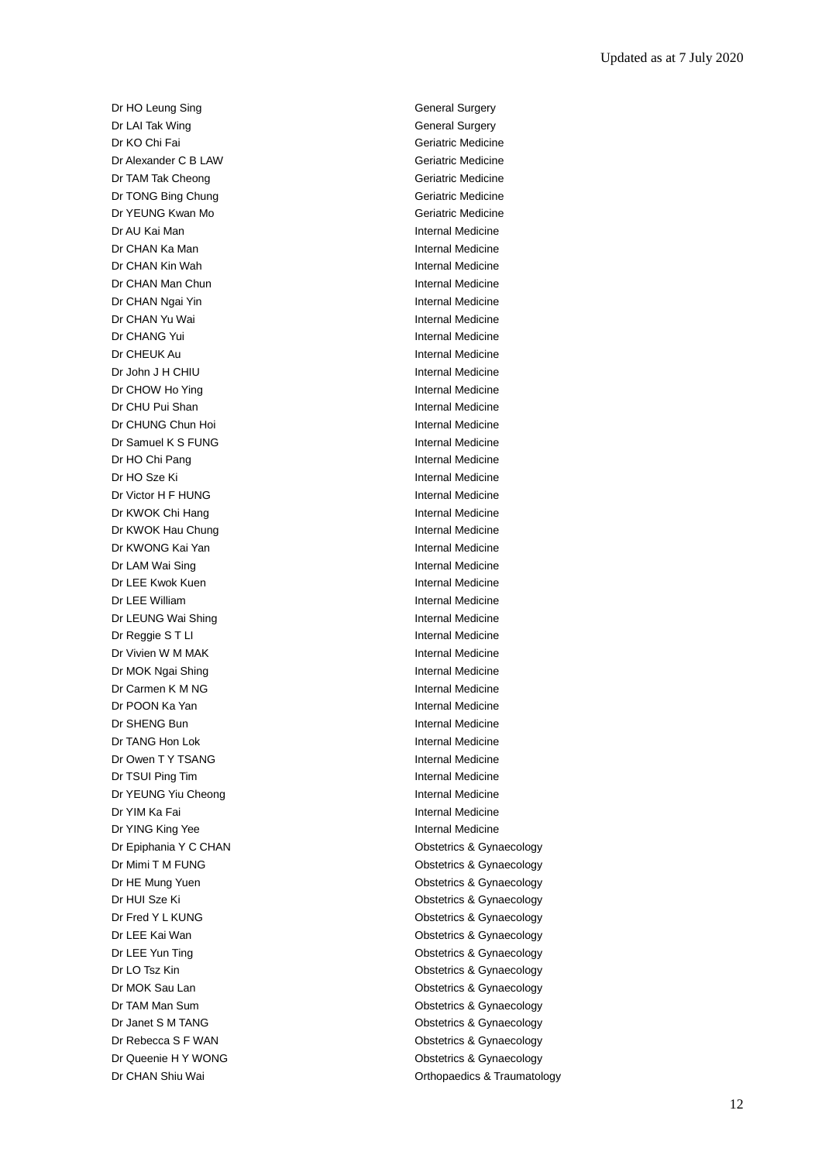Dr HO Leung Sing General Surgery Dr LAI Tak Wing **General Surgery** General Surgery Dr KO Chi Fai Geriatric Medicine Dr Alexander C B LAW Geriatric Medicine Dr TAM Tak Cheong Geriatric Medicine Dr TONG Bing Chung Geriatric Medicine Dr YEUNG Kwan Mo **Geriatric Medicine** Dr AU Kai Man Internal Medicine **Dr CHAN Ka Man Internal Medicine** Dr CHAN Kin Wah **Internal Medicine** Dr CHAN Man Chun **Internal Medicine** Dr CHAN Ngai Yin **Internal Medicine** Dr CHAN Yu Wai **Internal Medicine** Dr CHANG Yui **Internal Medicine** Dr CHEUK Au **Internal Medicine** Dr John J H CHIU **Internal Medicine** Dr CHOW Ho Ying **Internal Medicine** Dr CHU Pui Shan **Internal Medicine** Dr CHUNG Chun Hoi **Internal Medicine** Dr Samuel K S FUNG Internal Medicine Dr HO Chi Pang Internal Medicine Dr HO Sze Ki **Internal Medicine** Dr Victor H F HUNG Internal Medicine Dr KWOK Chi Hang Internal Medicine Dr KWOK Hau Chung **Internal Medicine** Dr KWONG Kai Yan **Internal Medicine** Dr LAM Wai Sing **Internal Medicine** Dr LEE Kwok Kuen Internal Medicine **Dr LEE William Internal Medicine** Dr LEUNG Wai Shing **Internal Medicine** Dr Reggie S T LI internal Medicine Dr Vivien W M MAK Internal Medicine Dr MOK Ngai Shing **Internal Medicine** Dr Carmen K M NG **Internal Medicine** Dr POON Ka Yan Internal Medicine Dr SHENG Bun **Internal Medicine** Dr TANG Hon Lok **Internal Medicine** Dr Owen T Y TSANG Internal Medicine Dr TSUI Ping Tim **Internal Medicine** Dr YEUNG Yiu Cheong **Internal Medicine** Dr YIM Ka Fai **Internal Medicine** Dr YING King Yee **Internal Medicine** Dr Epiphania Y C CHAN COME CHAN CONSTRUCTED BY CONSTRUCTION Obstetrics & Gynaecology Dr Mimi T M FUNG **Dr Mimi T M FUNG Obstetrics & Gynaecology** Dr HE Mung Yuen **Obstetrics & Gynaecology** Dr HUI Sze Ki **Obstetrics & Gynaecology** Dr Fred Y L KUNG **Dr Fred Y L KUNG Obstetrics & Gynaecology** Dr LEE Kai Wan **Obstetrics & Gynaecology** Dr LEE Yun Ting **Canadian Contract Contract Contract Contract Contract Contract Contract Contract Contract Contract Contract Contract Contract Contract Contract Contract Contract Contract Contract Contract Contract Contrac** Dr LO Tsz Kin **Obstetrics & Gynaecology** Dr MOK Sau Lan **Obstetrics & Gynaecology** Dr TAM Man Sum **Dr TAM Man Sum** Channel Construction Constanting Constanting Constanting Obstetrics & Gynaecology Dr Janet S M TANG **Dr Janet S M TANG Obstetrics & Gynaecology** Dr Rebecca S F WAN **Dr Rebecca S F WAN** Obstetrics & Gynaecology Dr Queenie H Y WONG **Obstetrics & Gynaecology** Dr CHAN Shiu Wai **Dr CHAN Shiu Wai Channel Channel Channel Channel Channel Channel Channel Channel Channel Channel Channel Channel Channel Channel Channel Channel Channel Channel Channel Channel Channel Channel Channel Cha**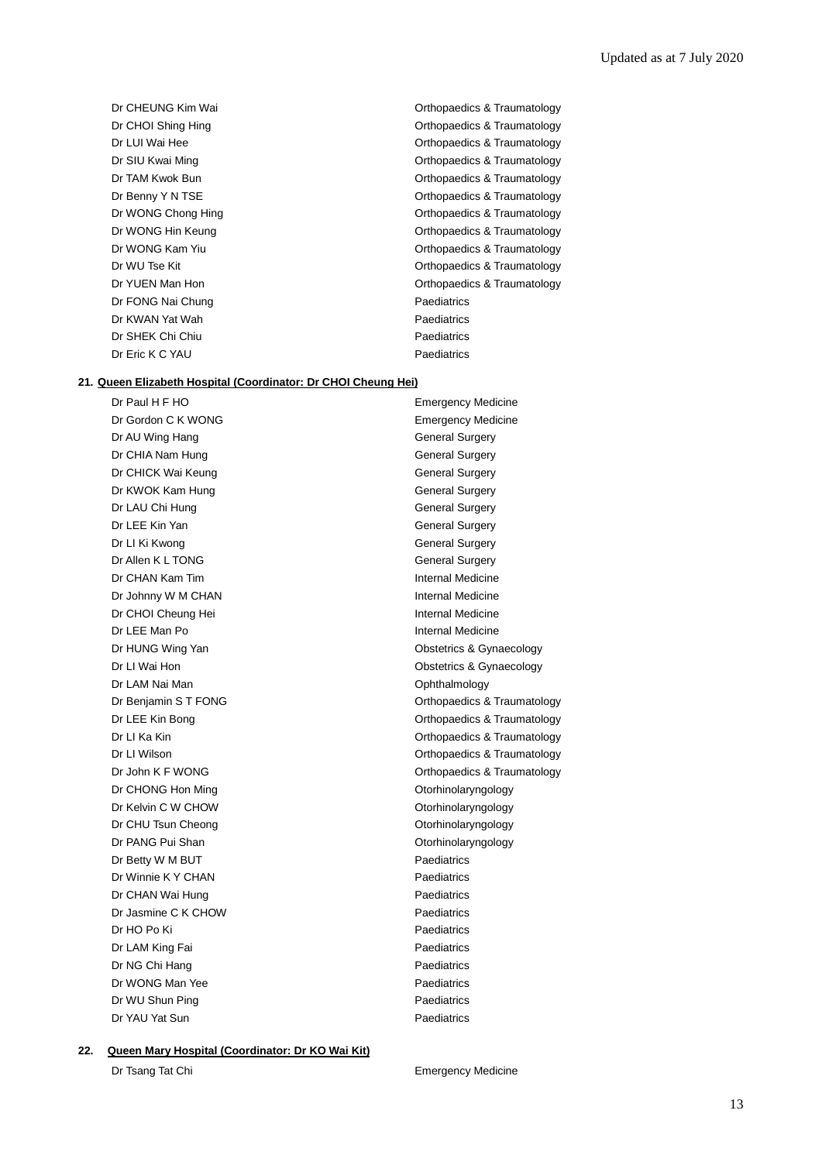Dr FONG Nai Chung **Paediatrics** Paediatrics Dr KWAN Yat Wah **Paediatrics** Dr SHEK Chi Chiu **Paediatrics** Paediatrics Dr Eric K C YAU Paediatrics

Dr CHEUNG Kim Wai **Dr CHEUNG** Kim Wai **Orthopaedics & Traumatology** Dr CHOI Shing Hing **CHOI Shing Hing COLL CONTAINS A** Control Control Control Control Control Control Control Control Control Control Control Control Control Control Control Control Control Control Control Control Control C Dr LUI Wai Hee **Orthopaedics & Traumatology** Dr SIU Kwai Ming **Orthopaedics & Traumatology** Dr TAM Kwok Bun **Orthopaedics & Traumatology Orthopaedics & Traumatology** Dr Benny Y N TSE **Dr Benny Y N TSE Orthopaedics & Traumatology** Dr WONG Chong Hing **Change Changes** Christ Chong Hing Orthopaedics & Traumatology Dr WONG Hin Keung **Dr WONG Hin Keung** Dr WONG Kam Yiu **Orthopaedics & Traumatology** Dr WU Tse Kit **Dr WU Tse Kit Contract Contract Contract Contract Contract Contract Contract Contract Contract Contract Contract Contract Contract Contract Contract Contract Contract Contract Contract Contract Contract Cont** Dr YUEN Man Hon **Dr YUEN Man Hon** Orthopaedics & Traumatology

#### **21. Queen Elizabeth Hospital (Coordinator: Dr CHOI Cheung Hei)**

Dr Gordon C K WONG **Emergency Medicine** Dr AU Wing Hang General Surgery Dr CHIA Nam Hung General Surgery Dr CHICK Wai Keung General Surgery Dr KWOK Kam Hung General Surgery Dr LAU Chi Hung General Surgery Dr LEE Kin Yan General Surgery Dr LI Ki Kwong **General** Surgery Dr Allen K L TONG General Surgery Dr CHAN Kam Tim **Internal Medicine** Dr Johnny W M CHAN Internal Medicine Dr CHOI Cheung Hei **Internal Medicine** Dr LEE Man Po **Internal Medicine** Dr HUNG Wing Yan **Dr HUNG Wing Yan** Obstetrics & Gynaecology Dr LI Wai Hon **Dr Li Wai Hon** Obstetrics & Gynaecology Dr LAM Nai Man **Ophthalmology** Dr CHONG Hon Ming **Dr CHONG Hon Ming CHONG** Dr CHONG Hon Ming Dr Kelvin C W CHOW **Otorhinolaryngology** Dr CHU Tsun Cheong **Otorhinolaryngology** Dr PANG Pui Shan **Otorhinolaryngology** Dr Betty W M BUT **Paediatrics** Dr Winnie K Y CHAN Paediatrics Dr CHAN Wai Hung **Paediatrics** Paediatrics Dr Jasmine C K CHOW **Paediatrics** Dr HO Po Ki Paediatrics Dr LAM King Fai **Paediatrics** Dr NG Chi Hang Paediatrics Dr WONG Man Yee Paediatrics Dr WU Shun Ping **Paediatrics** Dr YAU Yat Sun **Paediatrics** 

Dr Paul H F HO **Emergency Medicine** Dr Benjamin S T FONG **Orthopaedics & Traumatology** Dr LEE Kin Bong **Orthopaedics & Traumatology** Dr LI Ka Kin **Dr Li Ka Kin** Orthopaedics & Traumatology Dr LI Wilson **Dr LI Wilson** Orthopaedics & Traumatology Dr John K F WONG **Orthopaedics & Traumatology** 

#### **22. Queen Mary Hospital (Coordinator: Dr KO Wai Kit)**

Dr Tsang Tat Chi **Emergency Medicine**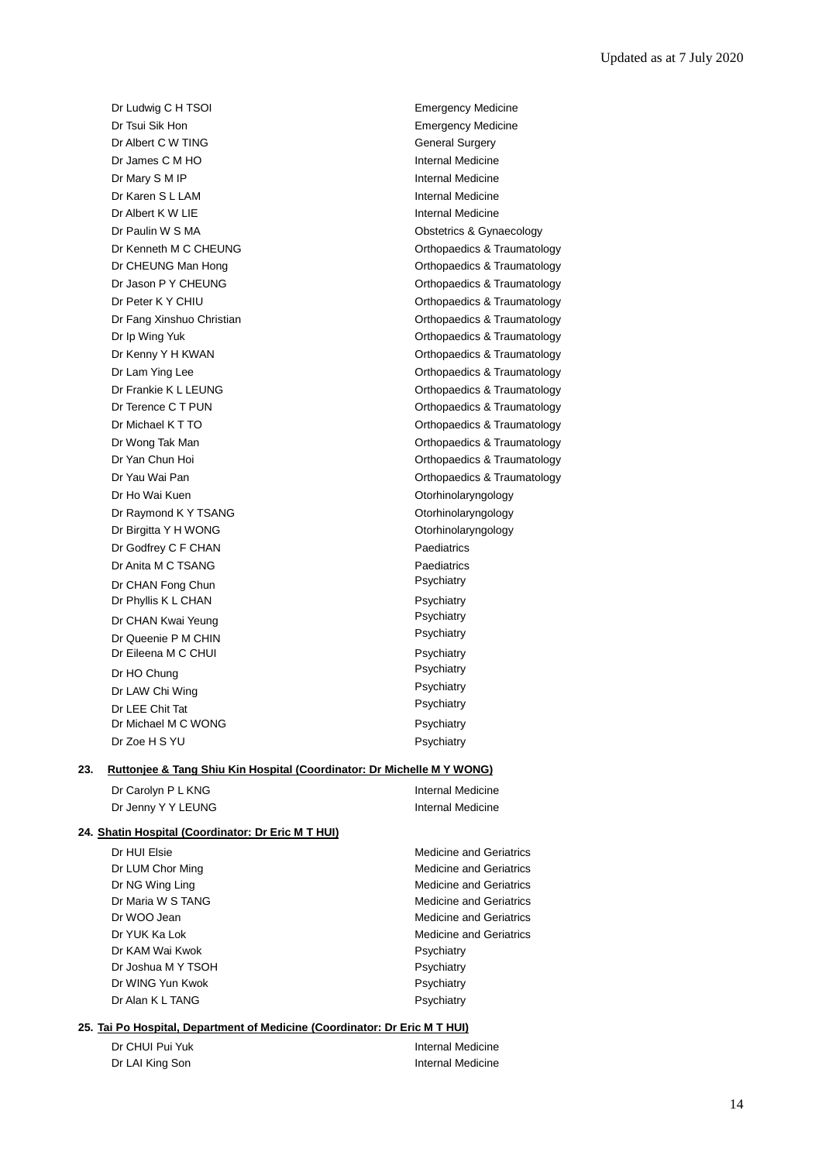Dr Ludwig C H TSOI **Emergency Medicine** Dr Tsui Sik Hon **Emergency Medicine** Dr Albert C W TING General Surgery Dr James C M HO **Internal Medicine** Dr Mary S M IP **Internal Medicine** Dr Karen S L LAM **Internal Medicine** Dr Albert K W LIE **Internal Medicine** Dr Paulin W S MA **Dr Paulin W S MA** Obstetrics & Gynaecology Dr Ho Wai Kuen **Otorhinolaryngology** Dr Raymond K Y TSANG CONSERVIATION CONTROLLER CONTROLLER CONTROLLER CONTROLLER ON A CONTROLLER CONTROLLER CONTROLLER CONTROLLER CONTROLLER CONTROLLER CONTROLLER CONTROLLER CONTROLLER CONTROLLER CONTROLLER CONTROLLER CONTRO Dr Birgitta Y H WONG **Otorhinolaryngology** Dr Godfrey C F CHAN Paediatrics Dr Anita M C TSANG Paediatrics Dr CHAN Fong Chun **Psychiatry** Dr Phyllis K L CHAN Psychiatry Dr CHAN Kwai Yeung **Properties and CHAN Kwai Yeung Properties Act And Act And Act And Act Act Act Act Act Act A**<br>Psychiatry Psychiatry Dr Queenie P M CHIN Dr Eileena M C CHUI Psychiatry Dr HO Chung<br>
Dr LAM Chi Ming<br>
Psychiatry<br>
Psychiatry Dr LAW Chi Wing **Property** Chi Wing Psychiatry Psychiatry Psychiatry Psychiatry Psychiatry Psychiatry Psychiatry Dr LEE Chit Tat Dr Michael M C WONG Psychiatry Dr Zoe H S YU Psychiatry

Dr Kenneth M C CHEUNG **CHEUNG CHEUNG CHEUNG CHEUNG CHEUNG CHEUNG CHEUNG CHEUNG CHEUNG CHEUNG CHEUNG CHEUNG CHEUNG CHEUNG CHEUNG CHEUNG CHEUNG CHEUNG CHEUNG CHEUNG CHEUNG CHEUNG C** Dr CHEUNG Man Hong **CHEUNG** Man Hong **CHEUNG** Man Hong Dr Jason P Y CHEUNG CHEUNG CHEROSE Orthopaedics & Traumatology Dr Peter K Y CHIU **Dr Peter K Y CHIU** Orthopaedics & Traumatology Dr Fang Xinshuo Christian **Orthopaedics & Traumatology** Dr Ip Wing Yuk **Dr Ip Wing Yuk Community Community** Orthopaedics & Traumatology Dr Kenny Y H KWAN **Dr Kenny Y H KWAN Orthopaedics & Traumatology** Dr Lam Ying Lee **Orthopaedics & Traumatology Orthopaedics & Traumatology** Dr Frankie K L LEUNG **CONFIDENTIAL CONFIDENTIAL CONFIDENCIAL CONFIDENCIAL CONFIDENTIAL CONFIDENTIAL CONFIDENTIAL** Dr Terence C T PUN **Dr Terence C T PUN** Orthopaedics & Traumatology Dr Michael K T TO **Orthopaedics & Traumatology** Dr Wong Tak Man **Orthopaedics & Traumatology Orthopaedics & Traumatology** Dr Yan Chun Hoi **Orthopaedics & Traumatology** Dr Yau Wai Pan Orthopaedics & Traumatology

#### **23. Ruttonjee & Tang Shiu Kin Hospital (Coordinator: Dr Michelle M Y WONG)**

| Dr Carolyn P L KNG | <b>Internal Medicine</b> |
|--------------------|--------------------------|
| Dr Jenny Y Y LEUNG | <b>Internal Medicine</b> |

#### **24. Shatin Hospital (Coordinator: Dr Eric M T HUI)**

Dr HUI Elsie Medicine and Geriatrics Dr LUM Chor Ming Medicine and Geriatrics Dr NG Wing Ling Medicine and Geriatrics Dr Maria W S TANG Medicine and Geriatrics Dr WOO Jean **Medicine** and Geriatrics **Dr WOO** Jean Dr YUK Ka Lok Medicine and Geriatrics Dr KAM Wai Kwok **Psychiatry** Dr Joshua M Y TSOH Psychiatry Dr WING Yun Kwok **Psychiatry** Dr Alan K L TANG Psychiatry Psychiatry

#### **25. Tai Po Hospital, Department of Medicine (Coordinator: Dr Eric M T HUI)**

| Dr CHUI Pui Yuk | Internal Medicine |
|-----------------|-------------------|
| Dr LAI King Son | Internal Medicine |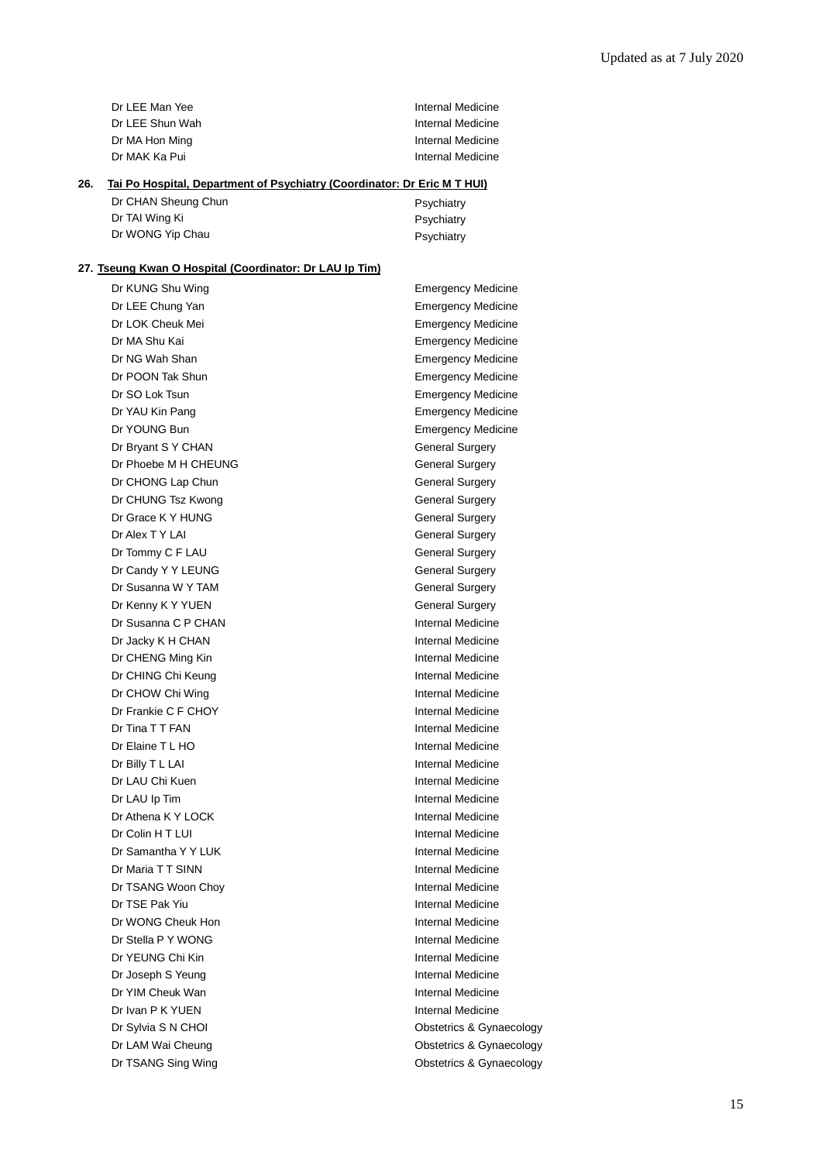| Dr LEE Man Yee  | Internal Medicine |
|-----------------|-------------------|
| Dr LEE Shun Wah | Internal Medicine |
| Dr MA Hon Ming  | Internal Medicine |
| Dr MAK Ka Pui   | Internal Medicine |

### **26. Tai Po Hospital, Department of Psychiatry (Coordinator: Dr Eric M T HUI)**

| Dr CHAN Sheung Chun | Psychiatry |
|---------------------|------------|
| Dr TAI Wing Ki      | Psychiatry |
| Dr WONG Yip Chau    | Psychiatry |

### **27. Tseung Kwan O Hospital (Coordinator: Dr LAU Ip Tim)**

| Dr KUNG Shu Wing     | <b>Emergency Medicine</b> |
|----------------------|---------------------------|
| Dr LEE Chung Yan     | <b>Emergency Medicine</b> |
| Dr LOK Cheuk Mei     | <b>Emergency Medicine</b> |
| Dr MA Shu Kai        | <b>Emergency Medicine</b> |
| Dr NG Wah Shan       | <b>Emergency Medicine</b> |
| Dr POON Tak Shun     | <b>Emergency Medicine</b> |
| Dr SO Lok Tsun       | <b>Emergency Medicine</b> |
| Dr YAU Kin Pang      | <b>Emergency Medicine</b> |
| Dr YOUNG Bun         | <b>Emergency Medicine</b> |
| Dr Bryant S Y CHAN   | <b>General Surgery</b>    |
| Dr Phoebe M H CHEUNG | <b>General Surgery</b>    |
| Dr CHONG Lap Chun    | <b>General Surgery</b>    |
| Dr CHUNG Tsz Kwong   | <b>General Surgery</b>    |
| Dr Grace K Y HUNG    | <b>General Surgery</b>    |
| Dr Alex T Y LAI      | <b>General Surgery</b>    |
| Dr Tommy C F LAU     | <b>General Surgery</b>    |
| Dr Candy Y Y LEUNG   | <b>General Surgery</b>    |
| Dr Susanna W Y TAM   | <b>General Surgery</b>    |
| Dr Kenny K Y YUEN    | <b>General Surgery</b>    |
| Dr Susanna C P CHAN  | Internal Medicine         |
| Dr Jacky K H CHAN    | Internal Medicine         |
| Dr CHENG Ming Kin    | Internal Medicine         |
| Dr CHING Chi Keung   | <b>Internal Medicine</b>  |
| Dr CHOW Chi Wing     | <b>Internal Medicine</b>  |
| Dr Frankie C F CHOY  | <b>Internal Medicine</b>  |
| Dr Tina T T FAN      | Internal Medicine         |
| Dr Elaine T L HO     | Internal Medicine         |
| Dr Billy T L LAI     | Internal Medicine         |
| Dr LAU Chi Kuen      | Internal Medicine         |
| Dr LAU Ip Tim        | Internal Medicine         |
| Dr Athena K Y LOCK   | <b>Internal Medicine</b>  |
| Dr Colin H T LUI     | <b>Internal Medicine</b>  |
| Dr Samantha Y Y LUK  | Internal Medicine         |
| Dr Maria TT SINN     | Internal Medicine         |
| Dr TSANG Woon Choy   | Internal Medicine         |
| Dr TSE Pak Yiu       | Internal Medicine         |
| Dr WONG Cheuk Hon    | Internal Medicine         |
| Dr Stella P Y WONG   | Internal Medicine         |
| Dr YEUNG Chi Kin     | Internal Medicine         |
| Dr Joseph S Yeung    | Internal Medicine         |
| Dr YIM Cheuk Wan     | Internal Medicine         |
| Dr Ivan P K YUEN     | Internal Medicine         |
| Dr Sylvia S N CHOI   | Obstetrics & Gynaecology  |
| Dr LAM Wai Cheung    | Obstetrics & Gynaecology  |
| Dr TSANG Sing Wing   | Obstetrics & Gynaecology  |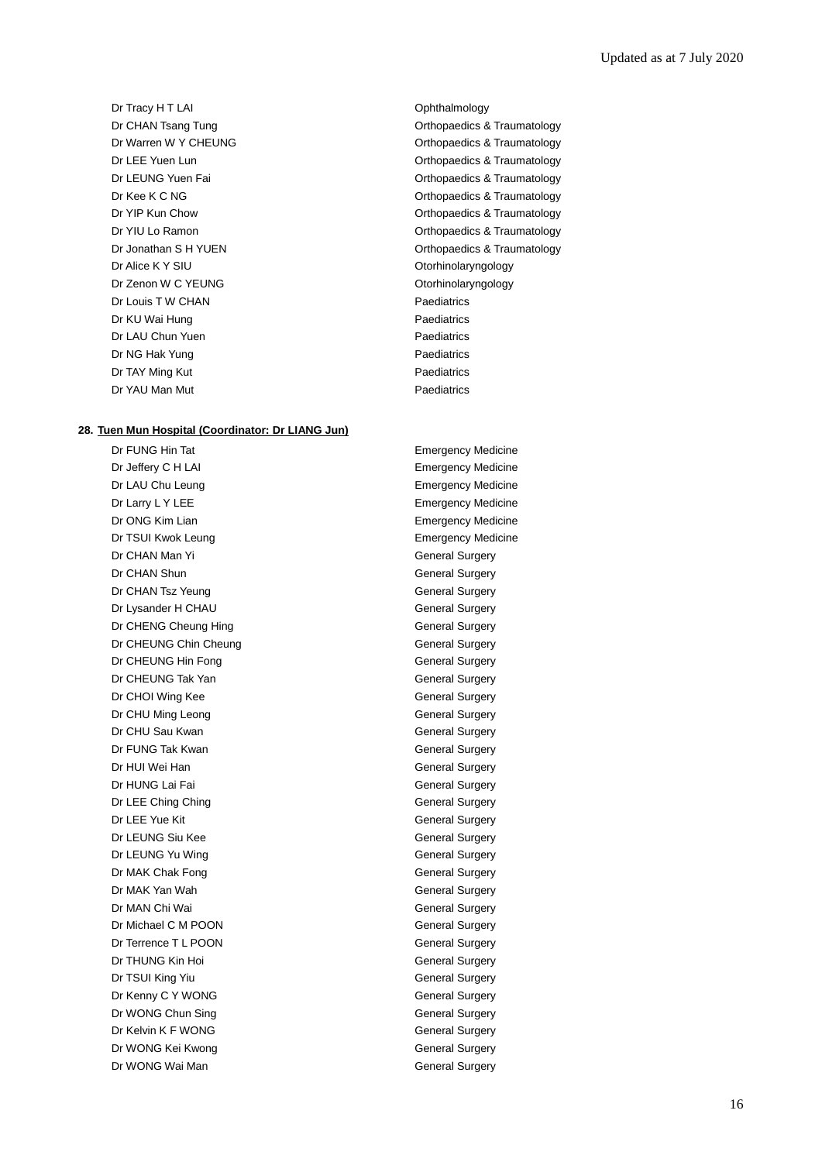Dr Tracy H T LAI Ophthalmology Dr Alice K Y SIU Correction Controlleryngology Dr Zenon W C YEUNG **Other CONGOVIDE CONSUMING** Otorhinolaryngology Dr Louis T W CHAN Paediatrics Dr KU Wai Hung **Paediatrics** Dr LAU Chun Yuen **Paediatrics** Paediatrics Dr NG Hak Yung **Paediatrics** Dr TAY Ming Kut **Paediatrics** Dr YAU Man Mut **Paediatrics** 

#### **28. Tuen Mun Hospital (Coordinator: Dr LIANG Jun)**

Dr Jeffery C H LAI Emergency Medicine Dr LAU Chu Leung **Emergency Medicine** Dr Larry L Y LEE **Example 20** Emergency Medicine Dr ONG Kim Lian **Emergency Medicine** Dr TSUI Kwok Leung **Emergency Medicine** Dr CHAN Man Yi General Surgery Dr CHAN Shun General Surgery Dr CHAN Tsz Yeung General Surgery Dr Lysander H CHAU General Surgery Dr CHENG Cheung Hing General Surgery Dr CHEUNG Chin Cheung General Surgery Dr CHEUNG Hin Fong General Surgery Dr CHEUNG Tak Yan General Surgery Dr CHOI Wing Kee General Surgery Dr CHU Ming Leong General Surgery Dr CHU Sau Kwan General Surgery Dr FUNG Tak Kwan General Surgery Dr HUI Wei Han General Surgery Dr HUNG Lai Fai **General** Surgery Dr LEE Ching Ching General Surgery Dr LEE Yue Kit General Surgery Dr LEUNG Siu Kee General Surgery Dr LEUNG Yu Wing General Surgery Dr MAK Chak Fong General Surgery Dr MAK Yan Wah General Surgery Dr MAN Chi Wai General Surgery Dr Michael C M POON General Surgery Dr Terrence T L POON General Surgery Dr THUNG Kin Hoi General Surgery Dr TSUI King Yiu General Surgery Dr Kenny C Y WONG General Surgery Dr WONG Chun Sing General Surgery Dr Kelvin K F WONG General Surgery Dr WONG Kei Kwong General Surgery Dr WONG Wai Man General Surgery

Dr CHAN Tsang Tung **CHAN Tsang Tung CHAN Tsang Tung CHAN** CHAN CHANGE Orthopaedics & Traumatology Dr Warren W Y CHEUNG **CHEUNG CHEUNG CHEUNG CHEUNG CHEUNG CHEUNG CHEUNG CHEUNG CHEUNG CHEUNG CHEUNG CHEUNG CHEUNG CHEUNG CHEUNG CHEUNG CHEUNG CHEUNG CHEUNG CHEUNG CHEUNG CHEUNG CH** Dr LEE Yuen Lun **Dr LEE Yuen Lun** Orthopaedics & Traumatology Dr LEUNG Yuen Fai **Calculate Controllet Controllet Controllet Controllet Controllet Controllet Controllet Controllet Controllet Controllet Controllet Controllet Controllet Controllet Controllet Controllet Controllet Contro** Dr Kee K C NG Orthopaedics & Traumatology Dr YIP Kun Chow **Orthopaedics & Traumatology Orthopaedics & Traumatology** Dr YIU Lo Ramon **Dr YIU Lo Ramon** Content Content Content Content Content Content Content Content Content Content Dr Jonathan S H YUEN CHANGE CONSUMING THE Orthopaedics & Traumatology

Dr FUNG Hin Tat **Emergency Medicine**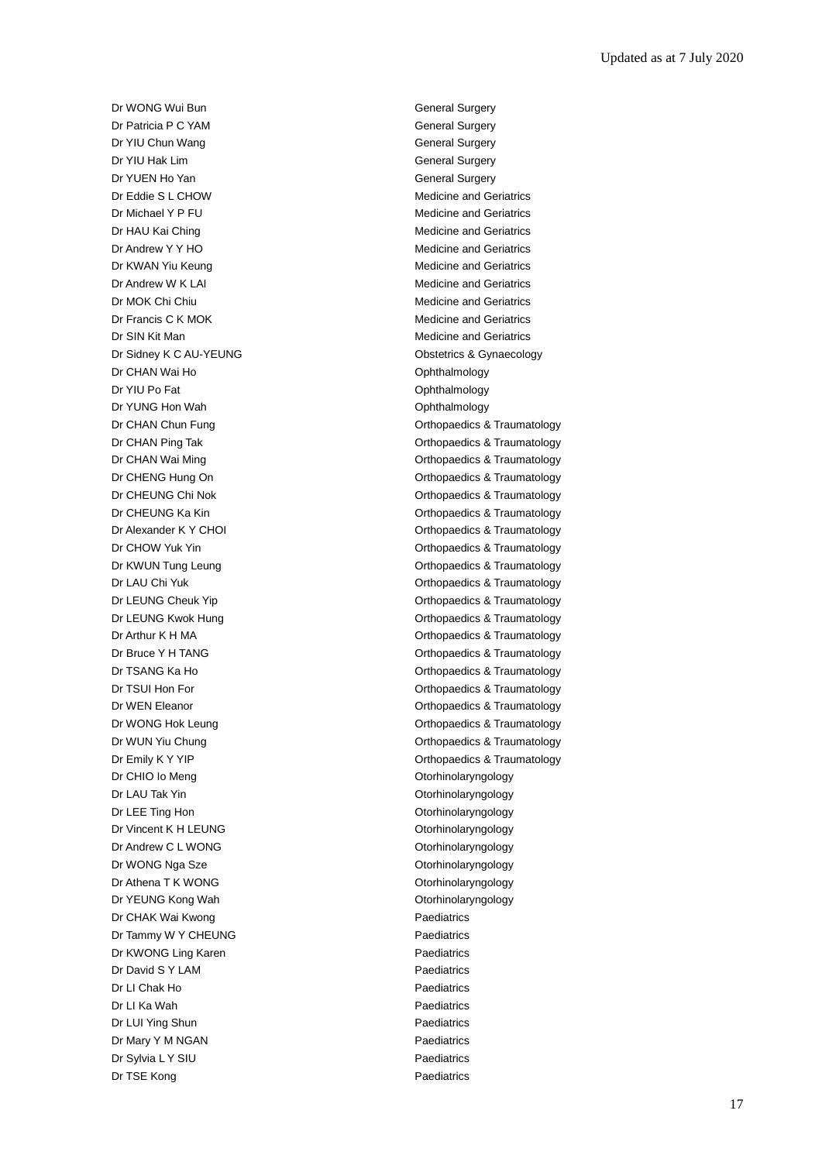Dr WONG Wui Bun General Surgery Dr Patricia P C YAM General Surgery Dr YIU Chun Wang General Surgery **Dr YIU Hak Lim General Surgery** General Surgery Dr YUEN Ho Yan General Surgery Dr Eddie S L CHOW Medicine and Geriatrics Dr Michael Y P FU **Dr Medicine and Geriatrics** Dr HAU Kai Ching Medicine and Geriatrics Dr Andrew Y Y HO Medicine and Geriatrics Dr KWAN Yiu Keung **Medicine** and Geriatrics Dr Andrew W K LAI Medicine and Geriatrics Dr MOK Chi Chiu **Medicine and Geriatrics** Medicine and Geriatrics Dr Francis C K MOK Medicine and Geriatrics Dr SIN Kit Man **Medicine and Geriatrics** Medicine and Geriatrics Dr Sidney K C AU-YEUNG **CONSERVANG** Obstetrics & Gynaecology Dr CHAN Wai Ho **Ophthalmology Ophthalmology** Dr YIU Po Fat **Ophthalmology** Dr YUNG Hon Wah **Ophthalmology** Ophthalmology Dr CHIO Io Meng **Otorhinolaryngology** Dr LAU Tak Yin **Otorhinolaryngology** Dr LEE Ting Hon **Otorhinolaryngology** Dr Vincent K H LEUNG **CONFERGATE:** Otorhinolaryngology Dr Andrew C L WONG **Otorhinolaryngology** Dr WONG Nga Sze **Otorhinolaryngology** Dr Athena T K WONG **Other CONG CONGLES** Otorhinolaryngology Dr YEUNG Kong Wah **Otorhinolaryngology** Dr CHAK Wai Kwong **Paediatrics** Paediatrics Dr Tammy W Y CHEUNG Paediatrics Dr KWONG Ling Karen **Paediatrics** Dr David S Y LAM Paediatrics Dr LI Chak Ho **Paediatrics** Dr LI Ka Wah **Paediatrics** Dr LUI Ying Shun **Paediatrics** Dr Mary Y M NGAN Paediatrics Dr Sylvia L Y SIU Paediatrics Dr TSE Kong **Paediatrics** Paediatrics

Dr CHAN Chun Fung **Dr CHAN Chun Fung Orthopaedics & Traumatology** Dr CHAN Ping Tak **Dr CHAN Ping Tak** Orthopaedics & Traumatology Dr CHAN Wai Ming **Dr CHAN Wai Ming Community** Christian Community Christian Christian Christian Christian Christian Christian Christian Christian Christian Christian Christian Christian Christian Christian Christian Christ Dr CHENG Hung On **Dr CHENG Hung On CHENG Hung On** Orthopaedics & Traumatology Dr CHEUNG Chi Nok **Dr CHEUNG** Chi Nok **Orthopaedics & Traumatology** Dr CHEUNG Ka Kin **Dr CHEUNG Ka Kin** Orthopaedics & Traumatology Dr Alexander K Y CHOI CHOI CHOI CHOI Orthopaedics & Traumatology Dr CHOW Yuk Yin CHOW Yuk Yin CHOW Yuk Yin CHOW Yuk Yin CHOW Yuk Yin CHOW Yuk Yin CHOW Orthopaedics & Traumatology Dr KWUN Tung Leung **Calculation Controllery** Orthopaedics & Traumatology Dr LAU Chi Yuk **Orthopaedics & Traumatology** Dr LEUNG Cheuk Yip **Change Cheuk Article Cheuk Article Cheuk Article Cheuk Article Cheuk Article Cheuk Article C** Dr LEUNG Kwok Hung **Dr Leunes Access 1989** Orthopaedics & Traumatology Dr Arthur K H MA **Dr Arthur K H MA** Orthopaedics & Traumatology Dr Bruce Y H TANG **Dr Bruce Y H TANG Orthopaedics & Traumatology** Dr TSANG Ka Ho **Orthopaedics & Traumatology** Dr TSUI Hon For **Dr TSUI Hon For** Controller Controller Controller Controller Controller Controller Controller Controller Controller Controller Controller Controller Controller Controller Controller Controller Controller C Dr WEN Eleanor **Orthopaedics & Traumatology Orthopaedics & Traumatology** Dr WONG Hok Leung **Dr WONG Hock Leung Orthopaedics & Traumatology** Dr WUN Yiu Chung **Orthopaedics & Traumatology** Dr Emily K Y YIP **Dr Emily K Y YIP** Orthopaedics & Traumatology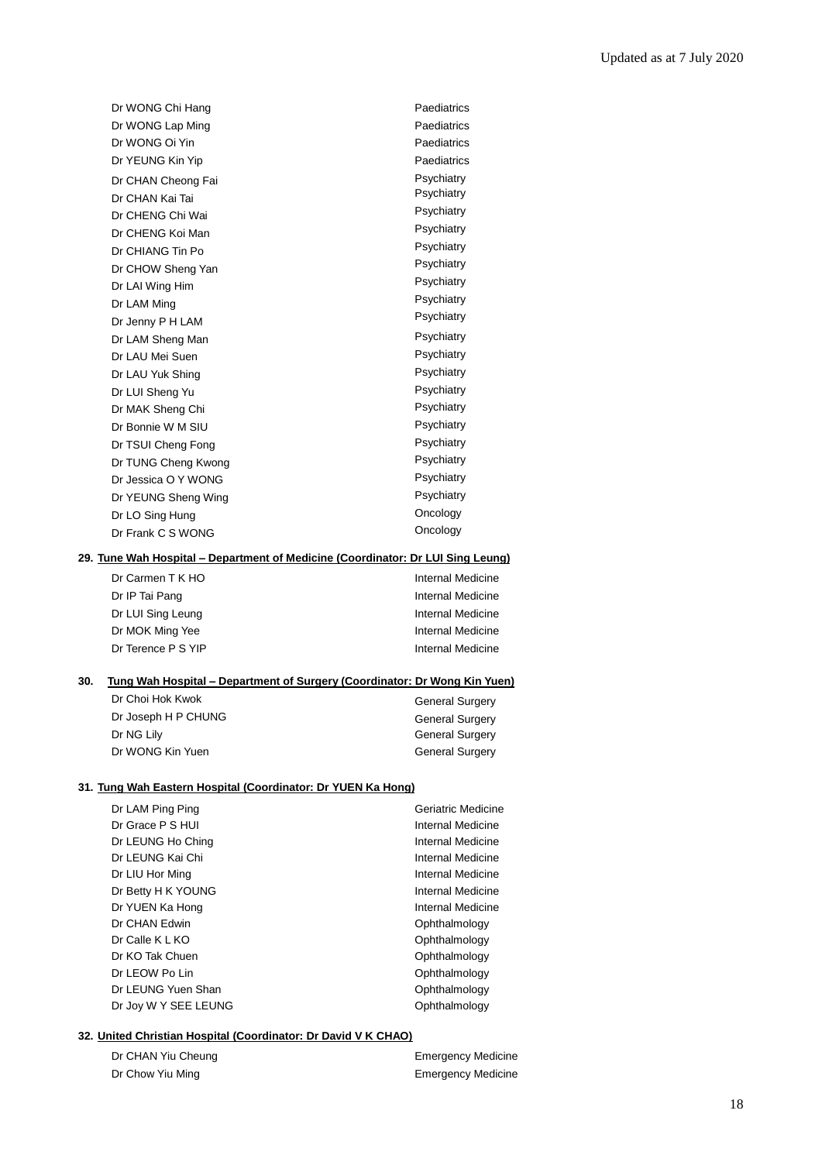| Dr WONG Chi Hang    | Paediatrics |
|---------------------|-------------|
| Dr WONG Lap Ming    | Paediatrics |
| Dr WONG Oi Yin      | Paediatrics |
| Dr YEUNG Kin Yip    | Paediatrics |
| Dr CHAN Cheong Fai  | Psychiatry  |
| Dr CHAN Kai Tai     | Psychiatry  |
| Dr CHENG Chi Wai    | Psychiatry  |
| Dr CHENG Koi Man    | Psychiatry  |
| Dr CHIANG Tin Po    | Psychiatry  |
| Dr CHOW Sheng Yan   | Psychiatry  |
| Dr LAI Wing Him     | Psychiatry  |
| Dr LAM Ming         | Psychiatry  |
| Dr Jenny P H LAM    | Psychiatry  |
| Dr LAM Sheng Man    | Psychiatry  |
| Dr LAU Mei Suen     | Psychiatry  |
| Dr LAU Yuk Shing    | Psychiatry  |
| Dr LUI Sheng Yu     | Psychiatry  |
| Dr MAK Sheng Chi    | Psychiatry  |
| Dr Bonnie W M SIU   | Psychiatry  |
| Dr TSUI Cheng Fong  | Psychiatry  |
| Dr TUNG Cheng Kwong | Psychiatry  |
| Dr Jessica O Y WONG | Psychiatry  |
| Dr YEUNG Sheng Wing | Psychiatry  |
| Dr LO Sing Hung     | Oncology    |
| Dr Frank C S WONG   | Oncology    |
|                     |             |

#### **29. Tune Wah Hospital – Department of Medicine (Coordinator: Dr LUI Sing Leung)**

| Dr Carmen T K HO   | Internal Medicine |
|--------------------|-------------------|
| Dr IP Tai Pang     | Internal Medicine |
| Dr LUI Sing Leung  | Internal Medicine |
| Dr MOK Ming Yee    | Internal Medicine |
| Dr Terence P S YIP | Internal Medicine |

#### **30. Tung Wah Hospital – Department of Surgery (Coordinator: Dr Wong Kin Yuen)**

| Dr Choi Hok Kwok    | <b>General Surgery</b> |
|---------------------|------------------------|
| Dr Joseph H P CHUNG | <b>General Surgery</b> |
| Dr NG Lily          | <b>General Surgery</b> |
| Dr WONG Kin Yuen    | <b>General Surgery</b> |

#### **31. Tung Wah Eastern Hospital (Coordinator: Dr YUEN Ka Hong)**

| Dr LAM Ping Ping     | Geriatric Medicine |
|----------------------|--------------------|
| Dr Grace P S HUI     | Internal Medicine  |
| Dr LEUNG Ho Ching    | Internal Medicine  |
| Dr LEUNG Kai Chi     | Internal Medicine  |
| Dr LIU Hor Ming      | Internal Medicine  |
| Dr Betty H K YOUNG   | Internal Medicine  |
| Dr YUEN Ka Hong      | Internal Medicine  |
| Dr CHAN Edwin        | Ophthalmology      |
| Dr Calle K L KO      | Ophthalmology      |
| Dr KO Tak Chuen      | Ophthalmology      |
| Dr LEOW Po Lin       | Ophthalmology      |
| Dr LEUNG Yuen Shan   | Ophthalmology      |
| Dr Joy W Y SEE LEUNG | Ophthalmology      |
|                      |                    |

### **32. United Christian Hospital (Coordinator: Dr David V K CHAO)**

| Dr CHAN Yiu Cheung | <b>Emergency Medicine</b> |
|--------------------|---------------------------|
| Dr Chow Yiu Ming   | <b>Emergency Medicine</b> |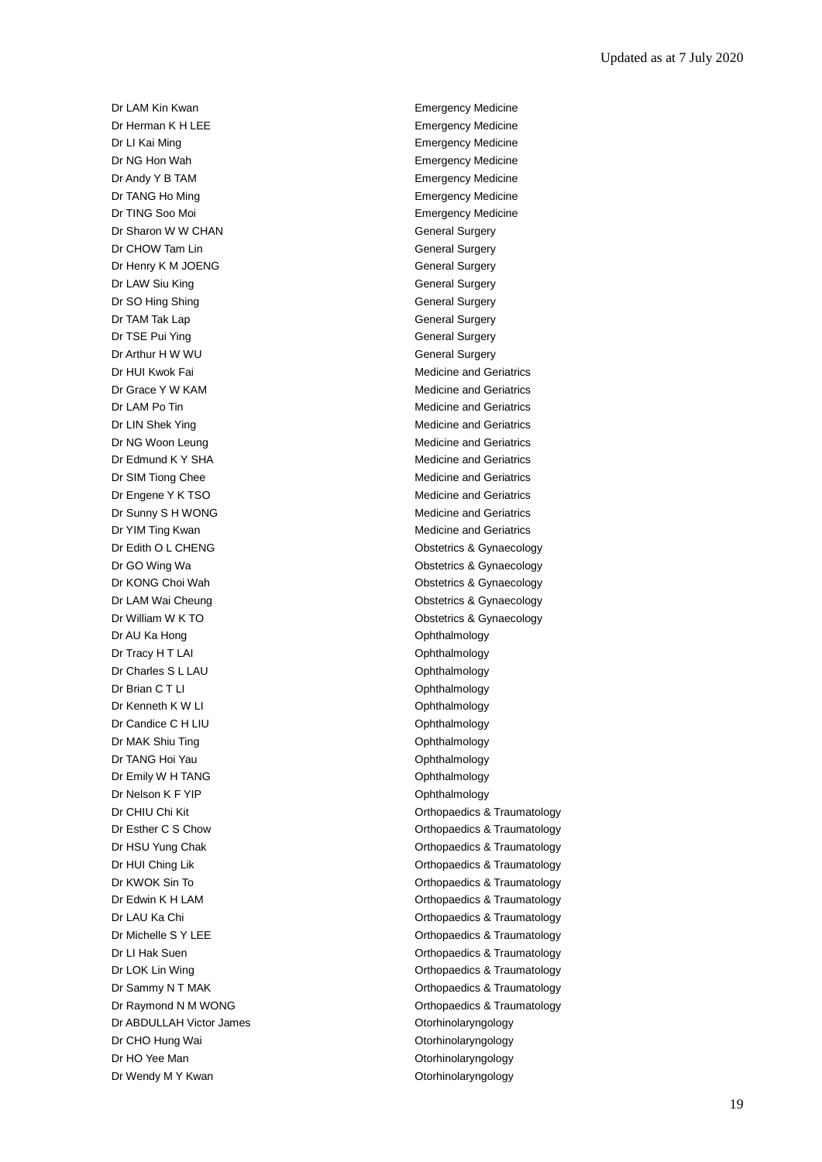Dr LAM Kin Kwan **Emergency Medicine** Dr Herman K H LEE **Example 2018** Emergency Medicine Dr LI Kai Ming **Emergency Medicine** Dr NG Hon Wah Emergency Medicine Dr Andy Y B TAM Emergency Medicine Dr TANG Ho Ming **Emergency Medicine** Dr TING Soo Moi **Emergency Medicine** Dr Sharon W W CHAN General Surgery Dr CHOW Tam Lin General Surgery Dr Henry K M JOENG General Surgery Dr LAW Siu King **General** Surgery Dr SO Hing Shing General Surgery Dr TAM Tak Lap General Surgery Dr TSE Pui Ying General Surgery Dr Arthur H W WU General Surgery Dr HUI Kwok Fai **Medicine and Geriatrics** Medicine and Geriatrics Dr Grace Y W KAM Medicine and Geriatrics Dr LAM Po Tin **Dr LAM Po Tin** Medicine and Geriatrics Dr LIN Shek Ying **Medicine** and Geriatrics **Medicine** and Geriatrics Dr NG Woon Leung Medicine and Geriatrics Dr Edmund K Y SHA Medicine and Geriatrics Dr SIM Tiong Chee Medicine and Geriatrics Dr Engene Y K TSO **Medicine and Geriatrics** Medicine and Geriatrics Dr Sunny S H WONG Medicine and Geriatrics Dr YIM Ting Kwan Medicine and Geriatrics Dr Edith O L CHENG **Obstetrics & Gynaecology** Dr GO Wing Wa **Obstetrics & Gynaecology** Dr KONG Choi Wah **Obstetrics & Gynaecology** Dr LAM Wai Cheung **Dr LAM Wai Cheung Obstetrics & Gynaecology** Dr William W K TO **Dr William W K TO** Dr AU Ka Hong **Ophthalmology Ophthalmology** Dr Tracy H T LAI Contract the Contract of Contract of Contract of Contract of Contract of Contract of Contract of Contract of Contract of Contract of Contract of Contract of Contract of Contract of Contract of Contract of Dr Charles S L LAU Ophthalmology Dr Brian C T LI Ophthalmology Dr Kenneth K W LI **Dr Kenneth K W LI Ophthalmology** Dr Candice C H LIU Ophthalmology Dr MAK Shiu Ting **Ophthalmology** Dr TANG Hoi Yau **Ophthalmology** Dr Emily W H TANG **Ophthalmology** Dr Nelson K F YIP Contract Contract Contract Contract Contract Contract Contract Contract Contract Contract Contract Contract Contract Contract Contract Contract Contract Contract Contract Contract Contract Contract Contra Dr ABDULLAH Victor James **Otorhinolaryngology** Dr CHO Hung Wai **Dr CHO Hung Wai** Christian Material According Dr CHO Hung Wai Christian Material According Dr CHO Hung Material According Dr CHO Hung Material According Dr CHO Hung Material According Dr CHO Hung Material Dr HO Yee Man **Otorhinolaryngology** Dr Wendy M Y Kwan **Dr Wendy M Y Kwan** Christian Museum Otorhinolaryngology

Dr CHIU Chi Kit **Orthopaedics & Traumatology** Dr Esther C S Chow Orthopaedics & Traumatology Dr HSU Yung Chak **Orthopaedics & Traumatology** Dr HUI Ching Lik **Dr HUI Ching Lik** Orthopaedics & Traumatology Dr KWOK Sin To **Orthopaedics & Traumatology** Dr Edwin K H LAM Controller Controller Controller Controller Controller Controller Controller Controller Controller Controller Controller Controller Controller Controller Controller Controller Controller Controller Control Dr LAU Ka Chi **Orthopaedics & Traumatology** Dr Michelle S Y LEE **Orthopaedics & Traumatology** Dr LI Hak Suen **Dr Li Hak Suen** Controller Controller Controller Controller Controller Controller Controller Controller Controller Controller Controller Controller Controller Controller Controller Controller Controller Con Dr LOK Lin Wing **Dr LOK Ling Community** Critics & Traumatology Dr Sammy N T MAK **Dr Sammy N T MAK Orthopaedics & Traumatology** Dr Raymond N M WONG **Orthopaedics & Traumatology**